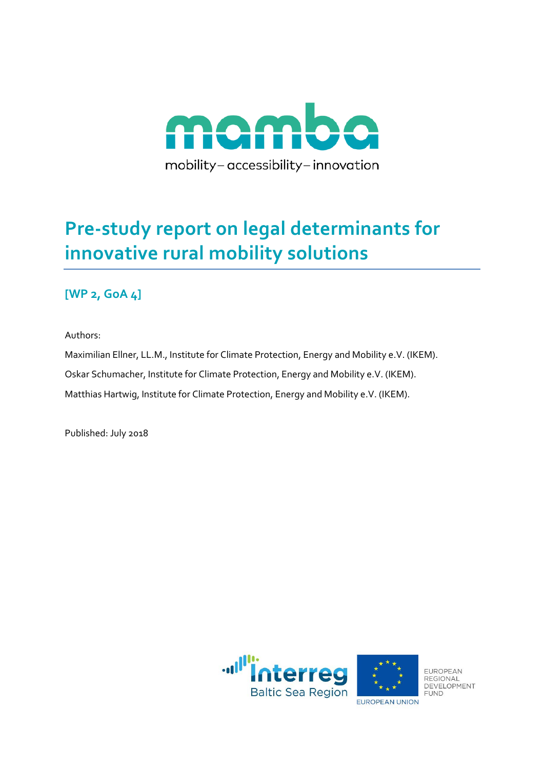

## <span id="page-0-0"></span>**[WP 2, GoA 4]**

Authors:

Maximilian Ellner, LL.M., Institute for Climate Protection, Energy and Mobility e.V. (IKEM). Oskar Schumacher, Institute for Climate Protection, Energy and Mobility e.V. (IKEM). Matthias Hartwig, Institute for Climate Protection, Energy and Mobility e.V. (IKEM).

Published: July 2018



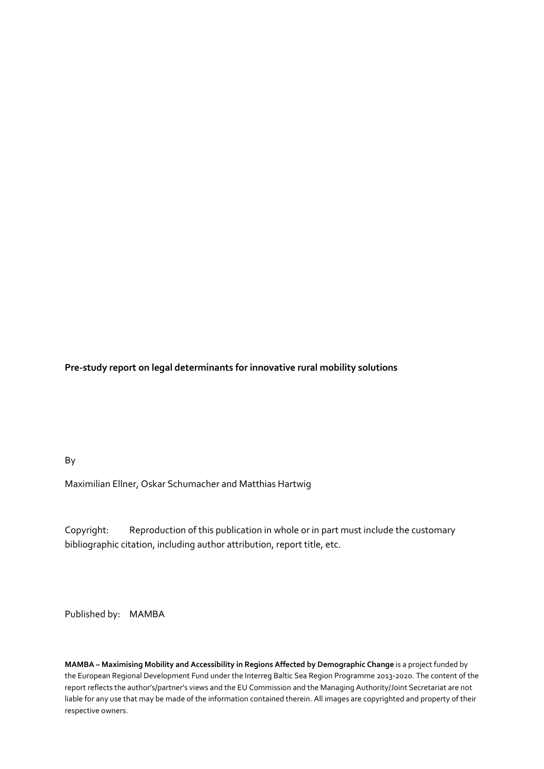By

Maximilian Ellner, Oskar Schumacher and Matthias Hartwig

Copyright: Reproduction of this publication in whole or in part must include the customary bibliographic citation, including author attribution, report title, etc.

Published by: MAMBA

**MAMBA – Maximising Mobility and Accessibility in Regions Affected by Demographic Change** is a project funded by the European Regional Development Fund under the Interreg Baltic Sea Region Programme 2013-2020. The content of the report reflects the author's/partner's views and the EU Commission and the Managing Authority/Joint Secretariat are not liable for any use that may be made of the information contained therein. All images are copyrighted and property of their respective owners.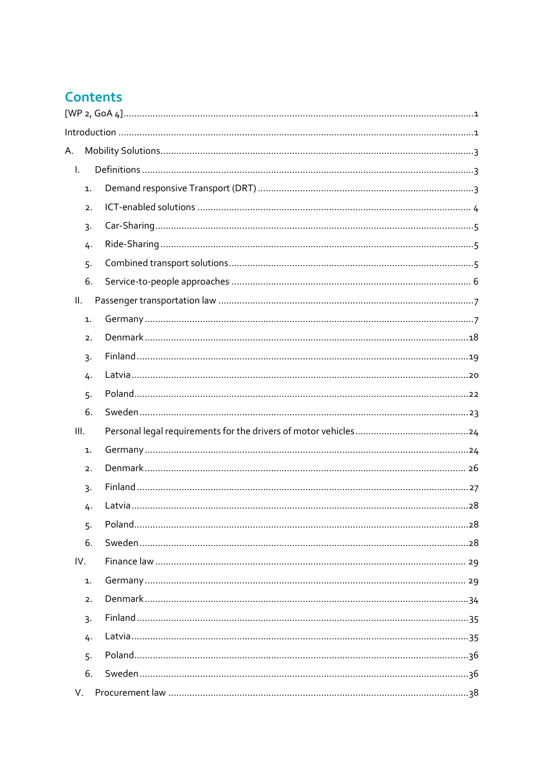## **Contents**

| А.             |  |
|----------------|--|
| T.             |  |
| 1.             |  |
| 2.             |  |
| $\overline{3}$ |  |
| 4.             |  |
| 5.             |  |
| 6.             |  |
| ΙΙ.            |  |
| 1.             |  |
| 2.             |  |
| $\overline{3}$ |  |
| 4.             |  |
| 5.             |  |
| 6.             |  |
| III.           |  |
| 1.             |  |
| 2.             |  |
| 3.             |  |
| 4.             |  |
| 5.             |  |
| 6.             |  |
| IV.            |  |
| 1.             |  |
| 2.             |  |
| $\overline{3}$ |  |
| 4.             |  |
| 5.             |  |
| 6.             |  |
| V.             |  |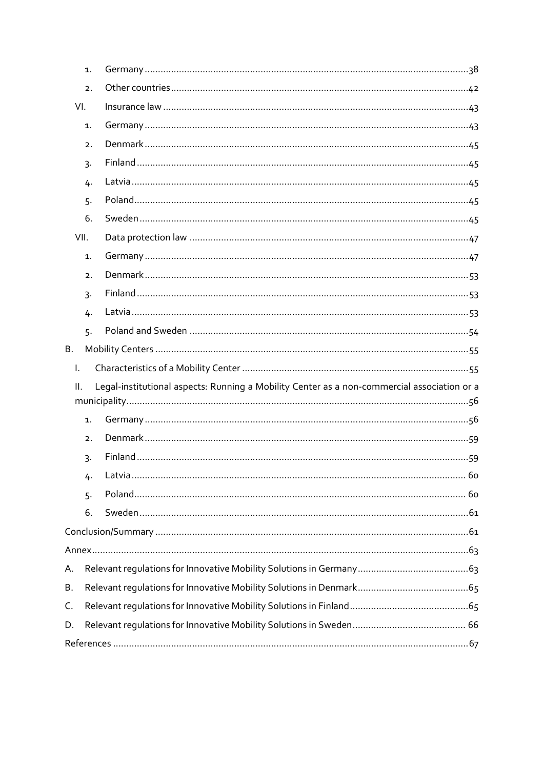|    |                | 1. |                                                                                             |  |
|----|----------------|----|---------------------------------------------------------------------------------------------|--|
|    |                | 2. |                                                                                             |  |
|    | VI.            |    |                                                                                             |  |
|    |                | 1. |                                                                                             |  |
|    |                | 2. |                                                                                             |  |
|    | $\overline{3}$ |    |                                                                                             |  |
|    | 4.             |    |                                                                                             |  |
|    | 5.             |    |                                                                                             |  |
|    |                | 6. |                                                                                             |  |
|    | VII.           |    |                                                                                             |  |
|    | 1.             |    |                                                                                             |  |
|    |                | 2. |                                                                                             |  |
|    | $\overline{3}$ |    |                                                                                             |  |
|    |                | 4. |                                                                                             |  |
|    |                | 5. |                                                                                             |  |
| Β. |                |    |                                                                                             |  |
|    |                |    |                                                                                             |  |
|    | I.             |    |                                                                                             |  |
|    | Ш.             |    | Legal-institutional aspects: Running a Mobility Center as a non-commercial association or a |  |
|    |                |    |                                                                                             |  |
|    | $\mathbf{1}$ . |    |                                                                                             |  |
|    |                | 2. |                                                                                             |  |
|    | 3.             |    |                                                                                             |  |
|    |                | 4. |                                                                                             |  |
|    | 5.             |    |                                                                                             |  |
|    |                | 6. |                                                                                             |  |
|    |                |    |                                                                                             |  |
|    |                |    |                                                                                             |  |
| А. |                |    |                                                                                             |  |
| Β. |                |    |                                                                                             |  |
| C. |                |    |                                                                                             |  |
| D. |                |    |                                                                                             |  |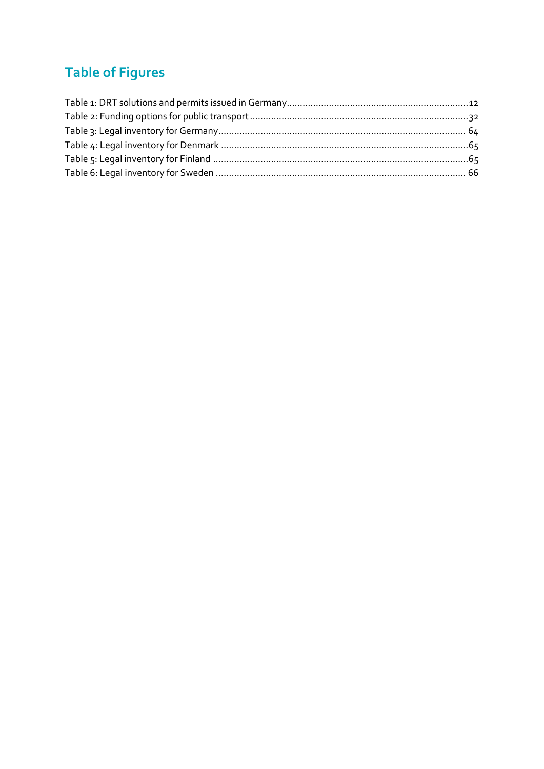## **Table of Figures**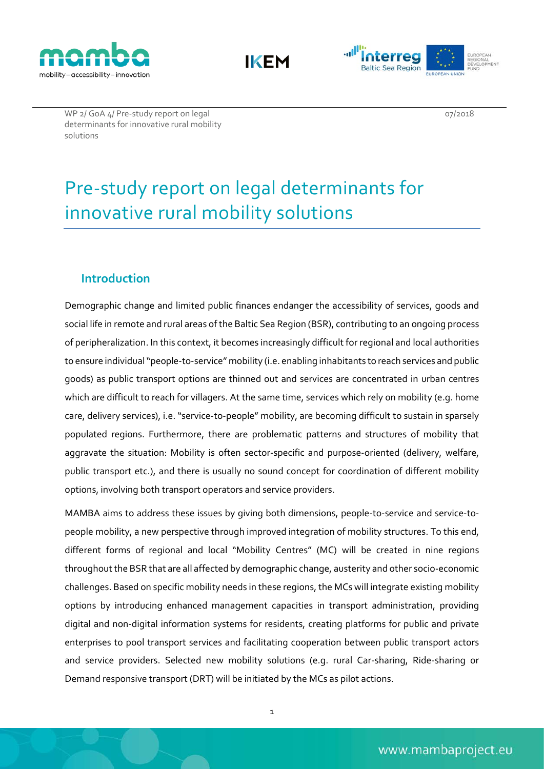





07/2018

# Pre-study report on legal determinants for innovative rural mobility solutions

### <span id="page-5-0"></span>**Introduction**

Demographic change and limited public finances endanger the accessibility of services, goods and social life in remote and rural areas of the Baltic Sea Region (BSR), contributing to an ongoing process of peripheralization. In this context, it becomes increasingly difficult for regional and local authorities to ensure individual "people-to-service" mobility (i.e. enabling inhabitants to reach services and public goods) as public transport options are thinned out and services are concentrated in urban centres which are difficult to reach for villagers. At the same time, services which rely on mobility (e.g. home care, delivery services), i.e. "service-to-people" mobility, are becoming difficult to sustain in sparsely populated regions. Furthermore, there are problematic patterns and structures of mobility that aggravate the situation: Mobility is often sector-specific and purpose-oriented (delivery, welfare, public transport etc.), and there is usually no sound concept for coordination of different mobility options, involving both transport operators and service providers.

MAMBA aims to address these issues by giving both dimensions, people-to-service and service-topeople mobility, a new perspective through improved integration of mobility structures. To this end, different forms of regional and local "Mobility Centres" (MC) will be created in nine regions throughout the BSR that are all affected by demographic change, austerity and other socio-economic challenges. Based on specific mobility needs in these regions, the MCs will integrate existing mobility options by introducing enhanced management capacities in transport administration, providing digital and non-digital information systems for residents, creating platforms for public and private enterprises to pool transport services and facilitating cooperation between public transport actors and service providers. Selected new mobility solutions (e.g. rural Car-sharing, Ride-sharing or Demand responsive transport (DRT) will be initiated by the MCs as pilot actions.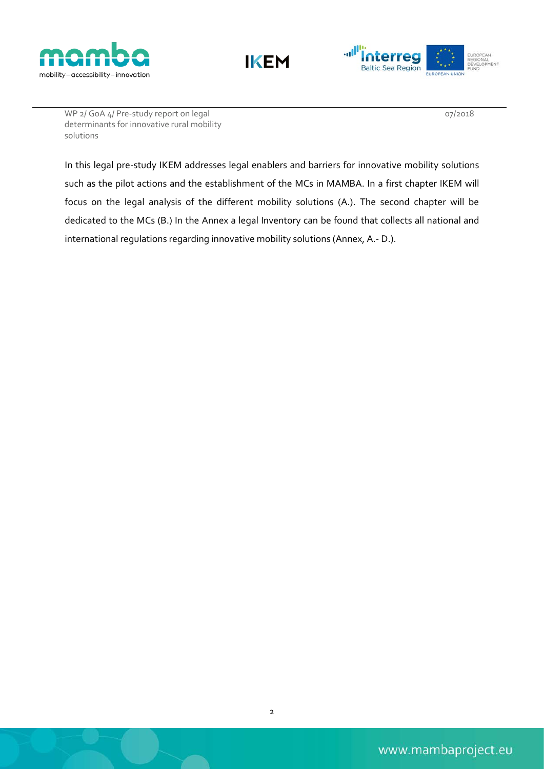





07/2018

In this legal pre-study IKEM addresses legal enablers and barriers for innovative mobility solutions such as the pilot actions and the establishment of the MCs in MAMBA. In a first chapter IKEM will focus on the legal analysis of the different mobility solutions (A.). The second chapter will be dedicated to the MCs (B.) In the Annex a legal Inventory can be found that collects all national and international regulations regarding innovative mobility solutions (Annex, A.- D.).

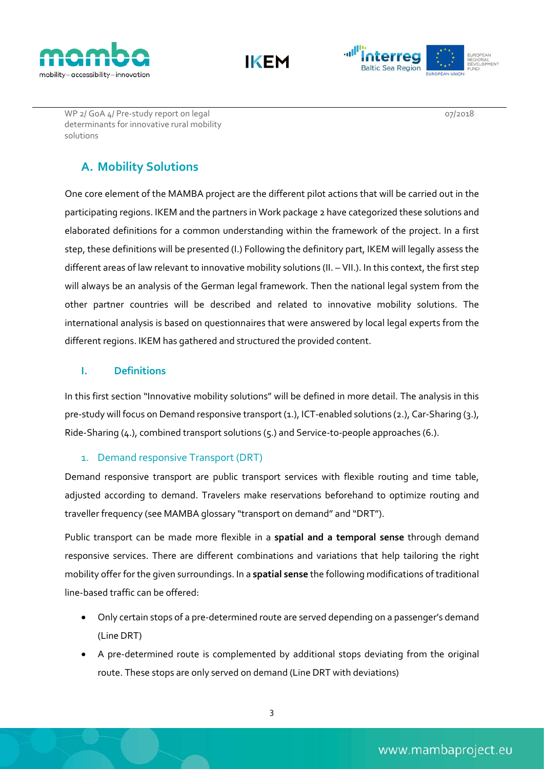





WP 2/ GoA 4/ Pre-study report on legal determinants for innovative rural mobility solutions

## <span id="page-7-0"></span>**A. Mobility Solutions**

One core element of the MAMBA project are the different pilot actions that will be carried out in the participating regions. IKEM and the partners in Work package 2 have categorized these solutions and elaborated definitions for a common understanding within the framework of the project. In a first step, these definitions will be presented (I.) Following the definitory part, IKEM will legally assess the different areas of law relevant to innovative mobility solutions (II. – VII.). In this context, the first step will always be an analysis of the German legal framework. Then the national legal system from the other partner countries will be described and related to innovative mobility solutions. The international analysis is based on questionnaires that were answered by local legal experts from the different regions. IKEM has gathered and structured the provided content.

#### <span id="page-7-1"></span>**I. Definitions**

In this first section "Innovative mobility solutions" will be defined in more detail. The analysis in this pre-study will focus on Demand responsive transport (1.), ICT-enabled solutions (2.), Car-Sharing (3.), Ride-Sharing (4.), combined transport solutions (5.) and Service-to-people approaches (6.).

#### <span id="page-7-2"></span>1. Demand responsive Transport (DRT)

Demand responsive transport are public transport services with flexible routing and time table, adjusted according to demand. Travelers make reservations beforehand to optimize routing and traveller frequency (see MAMBA glossary "transport on demand" and "DRT").

Public transport can be made more flexible in a **spatial and a temporal sense** through demand responsive services. There are different combinations and variations that help tailoring the right mobility offer for the given surroundings. In a **spatial sense** the following modifications of traditional line-based traffic can be offered:

- Only certain stops of a pre-determined route are served depending on a passenger's demand (Line DRT)
- A pre-determined route is complemented by additional stops deviating from the original route. These stops are only served on demand (Line DRT with deviations)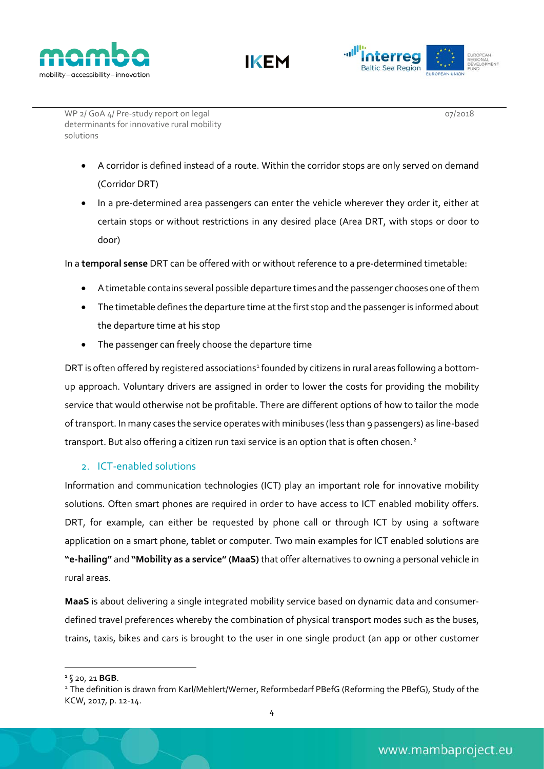





07/2018

- A corridor is defined instead of a route. Within the corridor stops are only served on demand (Corridor DRT)
- In a pre-determined area passengers can enter the vehicle wherever they order it, either at certain stops or without restrictions in any desired place (Area DRT, with stops or door to door)

In a **temporal sense** DRT can be offered with or without reference to a pre-determined timetable:

- A timetable contains several possible departure times and the passenger chooses one of them
- The timetable defines the departure time at the first stop and the passenger is informed about the departure time at his stop
- The passenger can freely choose the departure time

DRT is often offered by registered associations<sup>[1](#page-8-1)</sup> founded by citizens in rural areas following a bottomup approach. Voluntary drivers are assigned in order to lower the costs for providing the mobility service that would otherwise not be profitable. There are different options of how to tailor the mode of transport. In many cases the service operates with minibuses (less than 9 passengers) as line-based transport. But also offering a citizen run taxi service is an option that is often chosen.<sup>2</sup>

#### <span id="page-8-0"></span>2. ICT-enabled solutions

Information and communication technologies (ICT) play an important role for innovative mobility solutions. Often smart phones are required in order to have access to ICT enabled mobility offers. DRT, for example, can either be requested by phone call or through ICT by using a software application on a smart phone, tablet or computer. Two main examples for ICT enabled solutions are **"e-hailing"** and **"Mobility as a service" (MaaS)** that offer alternatives to owning a personal vehicle in rural areas.

**MaaS** is about delivering a single integrated mobility service based on dynamic data and consumerdefined travel preferences whereby the combination of physical transport modes such as the buses, trains, taxis, bikes and cars is brought to the user in one single product (an app or other customer

<span id="page-8-1"></span>1 § 20, 21 **BGB**.

<span id="page-8-2"></span><sup>2</sup> The definition is drawn from Karl/Mehlert/Werner, Reformbedarf PBefG (Reforming the PBefG), Study of the KCW, 2017, p. 12-14.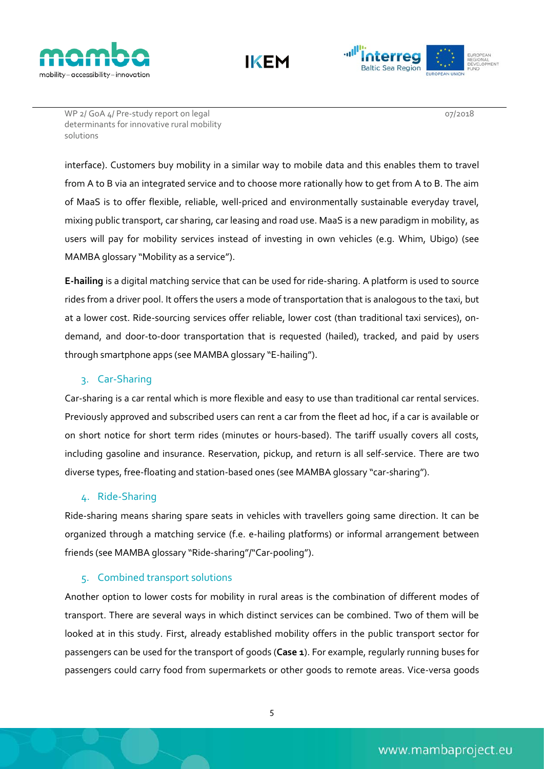





07/2018

interface). Customers buy mobility in a similar way to mobile data and this enables them to travel from A to B via an integrated service and to choose more rationally how to get from A to B. The aim of MaaS is to offer flexible, reliable, well-priced and environmentally sustainable everyday travel, mixing public transport, car sharing, car leasing and road use. MaaS is a new paradigm in mobility, as users will pay for mobility services instead of investing in own vehicles (e.g. Whim, Ubigo) (see MAMBA glossary "Mobility as a service").

**E-hailing** is a digital matching service that can be used for ride-sharing. A platform is used to source rides from a driver pool. It offers the users a mode of transportation that is analogous to the taxi, but at a lower cost. Ride-sourcing services offer reliable, lower cost (than traditional taxi services), ondemand, and door-to-door transportation that is requested (hailed), tracked, and paid by users through smartphone apps (see MAMBA glossary "E-hailing").

#### <span id="page-9-0"></span>3. Car-Sharing

Car-sharing is a car rental which is more flexible and easy to use than traditional car rental services. Previously approved and subscribed users can rent a car from the fleet ad hoc, if a car is available or on short notice for short term rides (minutes or hours-based). The tariff usually covers all costs, including gasoline and insurance. Reservation, pickup, and return is all self-service. There are two diverse types, free-floating and station-based ones (see MAMBA glossary "car-sharing").

#### <span id="page-9-1"></span>4. Ride-Sharing

Ride-sharing means sharing spare seats in vehicles with travellers going same direction. It can be organized through a matching service (f.e. e-hailing platforms) or informal arrangement between friends (see MAMBA glossary "Ride-sharing"/"Car-pooling").

#### <span id="page-9-2"></span>5. Combined transport solutions

Another option to lower costs for mobility in rural areas is the combination of different modes of transport. There are several ways in which distinct services can be combined. Two of them will be looked at in this study. First, already established mobility offers in the public transport sector for passengers can be used for the transport of goods (**Case 1**). For example, regularly running buses for passengers could carry food from supermarkets or other goods to remote areas. Vice-versa goods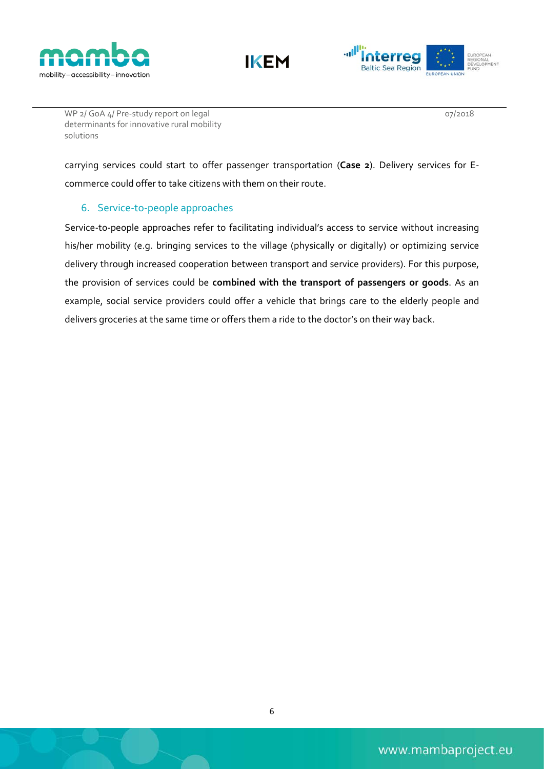





WP 2/ GoA 4/ Pre-study report on legal determinants for innovative rural mobility solutions

carrying services could start to offer passenger transportation (**Case 2**). Delivery services for Ecommerce could offer to take citizens with them on their route.

#### <span id="page-10-0"></span>6. Service-to-people approaches

Service-to-people approaches refer to facilitating individual's access to service without increasing his/her mobility (e.g. bringing services to the village (physically or digitally) or optimizing service delivery through increased cooperation between transport and service providers). For this purpose, the provision of services could be **combined with the transport of passengers or goods**. As an example, social service providers could offer a vehicle that brings care to the elderly people and delivers groceries at the same time or offers them a ride to the doctor's on their way back.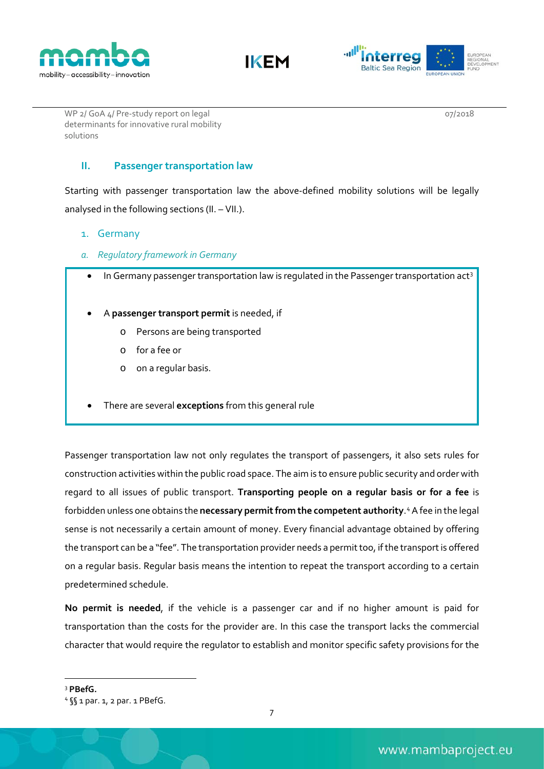





07/2018

#### <span id="page-11-0"></span>**II. Passenger transportation law**

Starting with passenger transportation law the above-defined mobility solutions will be legally analysed in the following sections (II. – VII.).

- <span id="page-11-1"></span>1. Germany
- *a. Regulatory framework in Germany*
- In Germany passenger transportation law is regulated in the Passenger transportation act<sup>[3](#page-11-2)</sup>
- A **passenger transport permit** is needed, if
	- o Persons are being transported
	- o for a fee or
	- o on a regular basis.
- There are several **exceptions** from this general rule

Passenger transportation law not only regulates the transport of passengers, it also sets rules for construction activities within the public road space. The aim is to ensure public security and order with regard to all issues of public transport. **Transporting people on a regular basis or for a fee** is forbidden unless one obtains the **necessary permit from the competent authority**. [4](#page-11-3)A fee in the legal sense is not necessarily a certain amount of money. Every financial advantage obtained by offering the transport can be a "fee". The transportation provider needs a permit too, if the transport is offered on a regular basis. Regular basis means the intention to repeat the transport according to a certain predetermined schedule.

**No permit is needed**, if the vehicle is a passenger car and if no higher amount is paid for transportation than the costs for the provider are. In this case the transport lacks the commercial character that would require the regulator to establish and monitor specific safety provisions for the

<span id="page-11-2"></span> <sup>3</sup> **PBefG.**

<span id="page-11-3"></span><sup>4</sup> §§ 1 par. 1, 2 par. 1 PBefG.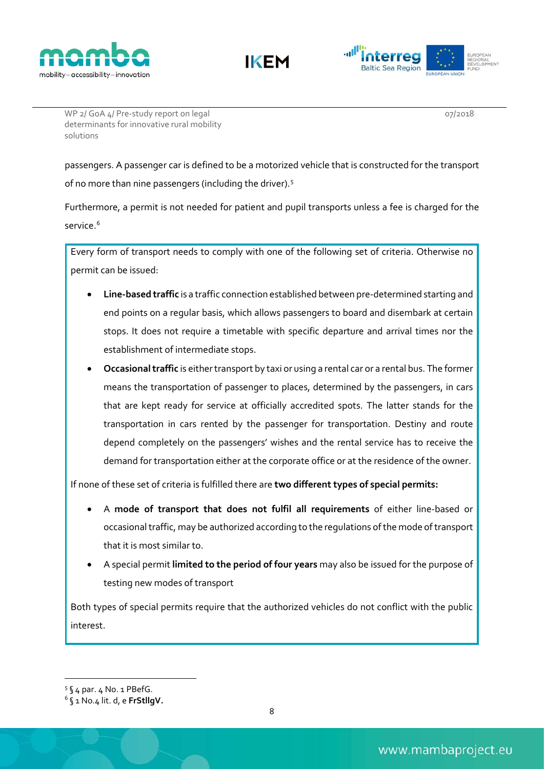





07/2018

passengers. A passenger car is defined to be a motorized vehicle that is constructed for the transport of no more than nine passengers (including the driver).[5](#page-12-0)

Furthermore, a permit is not needed for patient and pupil transports unless a fee is charged for the service.<sup>[6](#page-12-1)</sup>

Every form of transport needs to comply with one of the following set of criteria. Otherwise no permit can be issued:

- **Line-based traffic** is a traffic connection established between pre-determined starting and end points on a regular basis, which allows passengers to board and disembark at certain stops. It does not require a timetable with specific departure and arrival times nor the establishment of intermediate stops.
- **Occasional traffic** is either transport by taxi or using a rental car or a rental bus. The former means the transportation of passenger to places, determined by the passengers, in cars that are kept ready for service at officially accredited spots. The latter stands for the transportation in cars rented by the passenger for transportation. Destiny and route depend completely on the passengers' wishes and the rental service has to receive the demand for transportation either at the corporate office or at the residence of the owner.

If none of these set of criteria is fulfilled there are **two different types of special permits:**

- A **mode of transport that does not fulfil all requirements** of either line-based or occasional traffic, may be authorized according to the regulations of the mode of transport that it is most similar to.
- A special permit **limited to the period of four years** may also be issued for the purpose of testing new modes of transport

Both types of special permits require that the authorized vehicles do not conflict with the public interest.

<span id="page-12-0"></span> <sup>5</sup> § 4 par. 4 No. 1 PBefG.

<span id="page-12-1"></span><sup>6</sup> § 1 No.4 lit. d, e **FrStllgV.**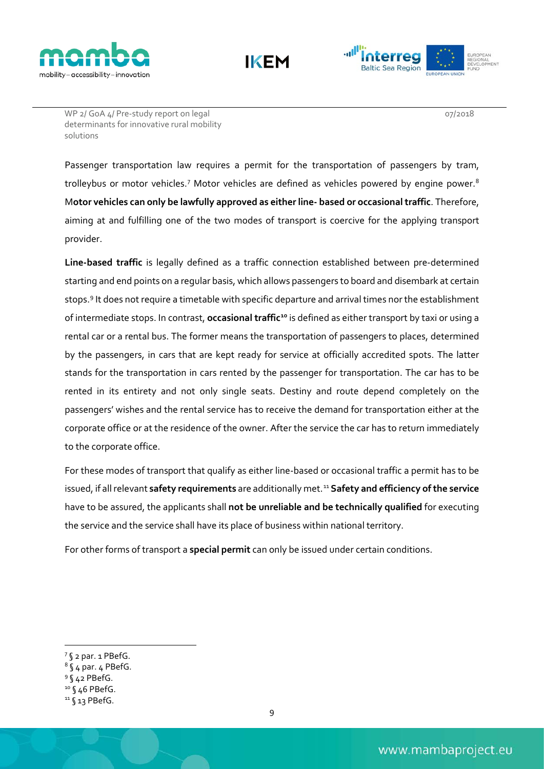





07/2018

Passenger transportation law requires a permit for the transportation of passengers by tram, trolleybus or motor vehicles.<sup>[7](#page-13-0)</sup> Motor vehicles are defined as vehicles powered by engine power.<sup>[8](#page-13-1)</sup> M**otor vehicles can only be lawfully approved as either line- based or occasional traffic**. Therefore, aiming at and fulfilling one of the two modes of transport is coercive for the applying transport provider.

**Line-based traffic** is legally defined as a traffic connection established between pre-determined starting and end points on a regular basis, which allows passengers to board and disembark at certain stops.[9](#page-13-2) It does not require a timetable with specific departure and arrival times nor the establishment of intermediate stops. In contrast, **occasional traffic<sup>10</sup>** is defined as either transport by taxi or using a rental car or a rental bus. The former means the transportation of passengers to places, determined by the passengers, in cars that are kept ready for service at officially accredited spots. The latter stands for the transportation in cars rented by the passenger for transportation. The car has to be rented in its entirety and not only single seats. Destiny and route depend completely on the passengers' wishes and the rental service has to receive the demand for transportation either at the corporate office or at the residence of the owner. After the service the car has to return immediately to the corporate office.

For these modes of transport that qualify as either line-based or occasional traffic a permit has to be issued, if all relevant **safety requirements** are additionally met. [11](#page-13-4) **Safety and efficiency of the service** have to be assured, the applicants shall **not be unreliable and be technically qualified** for executing the service and the service shall have its place of business within national territory.

For other forms of transport a **special permit** can only be issued under certain conditions.

<span id="page-13-0"></span> <sup>7</sup> § 2 par. 1 PBefG.

<span id="page-13-1"></span> $8$  § 4 par. 4 PBefG.

<span id="page-13-2"></span><sup>9</sup> § 42 PBefG.

<span id="page-13-3"></span><sup>&</sup>lt;sup>10</sup> § 46 PBefG.

<span id="page-13-4"></span> $11$   $$13$  PBefG.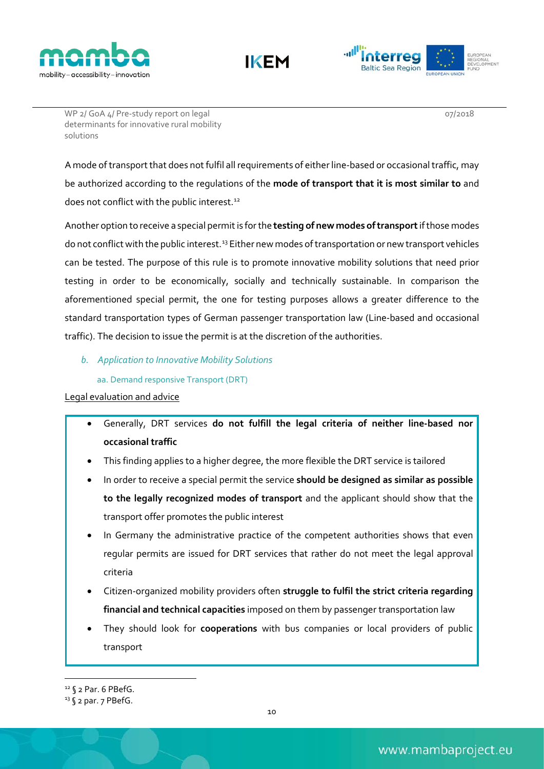





WP 2/ GoA 4/ Pre-study report on legal determinants for innovative rural mobility solutions

A mode of transport that does not fulfil all requirements of either line-based or occasional traffic, may be authorized according to the regulations of the **mode of transport that it is most similar to** and does not conflict with the public interest.<sup>[12](#page-14-0)</sup>

Another option to receive a special permit is for the **testing of new modes of transport**if those modes do not conflict with the public interest.<sup>[13](#page-14-1)</sup> Either new modes of transportation or new transport vehicles can be tested. The purpose of this rule is to promote innovative mobility solutions that need prior testing in order to be economically, socially and technically sustainable. In comparison the aforementioned special permit, the one for testing purposes allows a greater difference to the standard transportation types of German passenger transportation law (Line-based and occasional traffic). The decision to issue the permit is at the discretion of the authorities.

*b. Application to Innovative Mobility Solutions* aa. Demand responsive Transport (DRT)

Legal evaluation and advice

- Generally, DRT services **do not fulfill the legal criteria of neither line-based nor occasional traffic**
- This finding applies to a higher degree, the more flexible the DRT service is tailored
- In order to receive a special permit the service **should be designed as similar as possible to the legally recognized modes of transport** and the applicant should show that the transport offer promotes the public interest
- In Germany the administrative practice of the competent authorities shows that even regular permits are issued for DRT services that rather do not meet the legal approval criteria
- Citizen-organized mobility providers often **struggle to fulfil the strict criteria regarding financial and technical capacities** imposed on them by passenger transportation law
- They should look for **cooperations** with bus companies or local providers of public transport

<span id="page-14-0"></span>12 § 2 Par. 6 PBefG.

<span id="page-14-1"></span> $13$   $\sqrt{ }$  2 par. 7 PBefG.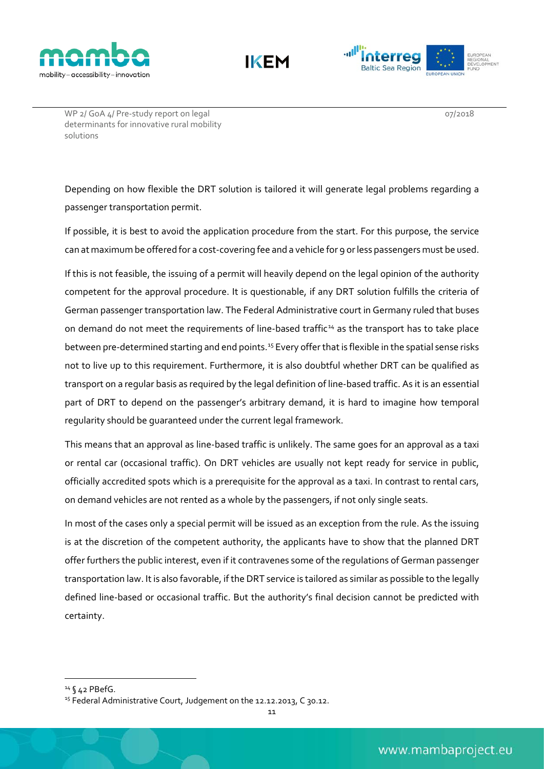





WP 2/ GoA 4/ Pre-study report on legal determinants for innovative rural mobility solutions

Depending on how flexible the DRT solution is tailored it will generate legal problems regarding a passenger transportation permit.

If possible, it is best to avoid the application procedure from the start. For this purpose, the service can at maximum be offered for a cost-covering fee and a vehicle for 9 or less passengers must be used.

If this is not feasible, the issuing of a permit will heavily depend on the legal opinion of the authority competent for the approval procedure. It is questionable, if any DRT solution fulfills the criteria of German passenger transportation law. The Federal Administrative court in Germany ruled that buses on demand do not meet the requirements of line-based traffic<sup>[14](#page-15-0)</sup> as the transport has to take place between pre-determined starting and end points.<sup>[15](#page-15-1)</sup> Every offer that is flexible in the spatial sense risks not to live up to this requirement. Furthermore, it is also doubtful whether DRT can be qualified as transport on a regular basis as required by the legal definition of line-based traffic. As it is an essential part of DRT to depend on the passenger's arbitrary demand, it is hard to imagine how temporal regularity should be guaranteed under the current legal framework.

This means that an approval as line-based traffic is unlikely. The same goes for an approval as a taxi or rental car (occasional traffic). On DRT vehicles are usually not kept ready for service in public, officially accredited spots which is a prerequisite for the approval as a taxi. In contrast to rental cars, on demand vehicles are not rented as a whole by the passengers, if not only single seats.

In most of the cases only a special permit will be issued as an exception from the rule. As the issuing is at the discretion of the competent authority, the applicants have to show that the planned DRT offer furthers the public interest, even if it contravenes some of the regulations of German passenger transportation law. It is also favorable, if the DRT service is tailored as similar as possible to the legally defined line-based or occasional traffic. But the authority's final decision cannot be predicted with certainty.

<span id="page-15-0"></span> <sup>14</sup> § 42 PBefG.

<span id="page-15-1"></span><sup>&</sup>lt;sup>15</sup> Federal Administrative Court, Judgement on the 12.12.2013, C 30.12.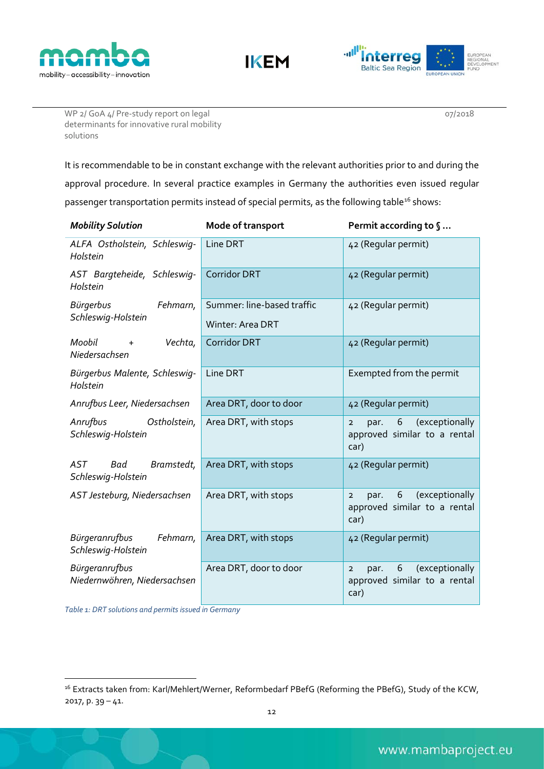





07/2018

It is recommendable to be in constant exchange with the relevant authorities prior to and during the approval procedure. In several practice examples in Germany the authorities even issued regular passenger transportation permits instead of special permits, as the following table<sup>[16](#page-16-1)</sup> shows:

| <b>Mobility Solution</b>                              | Mode of transport                              | Permit according to §                                                                 |
|-------------------------------------------------------|------------------------------------------------|---------------------------------------------------------------------------------------|
| ALFA Ostholstein, Schleswig-<br>Holstein              | Line DRT                                       | 42 (Regular permit)                                                                   |
| AST Bargteheide, Schleswig-<br>Holstein               | <b>Corridor DRT</b>                            | 42 (Regular permit)                                                                   |
| Bürgerbus<br>Fehmarn,<br>Schleswig-Holstein           | Summer: line-based traffic<br>Winter: Area DRT | 42 (Regular permit)                                                                   |
| Moobil<br>Vechta,<br>$\ddot{}$<br>Niedersachsen       | <b>Corridor DRT</b>                            | 42 (Regular permit)                                                                   |
| Bürgerbus Malente, Schleswig-<br>Holstein             | Line DRT                                       | Exempted from the permit                                                              |
| Anrufbus Leer, Niedersachsen                          | Area DRT, door to door                         | 42 (Regular permit)                                                                   |
| Anrufbus<br>Ostholstein,<br>Schleswig-Holstein        | Area DRT, with stops                           | (exceptionally<br>6<br>par.<br>$\overline{2}$<br>approved similar to a rental<br>car) |
| AST<br>Bramstedt,<br>Bad<br>Schleswig-Holstein        | Area DRT, with stops                           | 42 (Regular permit)                                                                   |
| AST Jesteburg, Niedersachsen                          | Area DRT, with stops                           | (exceptionally<br>6<br>par.<br>$\overline{2}$<br>approved similar to a rental<br>car) |
| Bürgeranrufbus<br>Fehmarn,<br>Schleswig-Holstein      | Area DRT, with stops                           | 42 (Regular permit)                                                                   |
| <b>Bürgeranrufbus</b><br>Niedernwöhren, Niedersachsen | Area DRT, door to door                         | (exceptionally<br>6<br>par.<br>$\overline{2}$<br>approved similar to a rental<br>car) |

<span id="page-16-0"></span>*Table 1: DRT solutions and permits issued in Germany*

<span id="page-16-1"></span><sup>&</sup>lt;sup>16</sup> Extracts taken from: Karl/Mehlert/Werner, Reformbedarf PBefG (Reforming the PBefG), Study of the KCW, 2017, p. 39 – 41.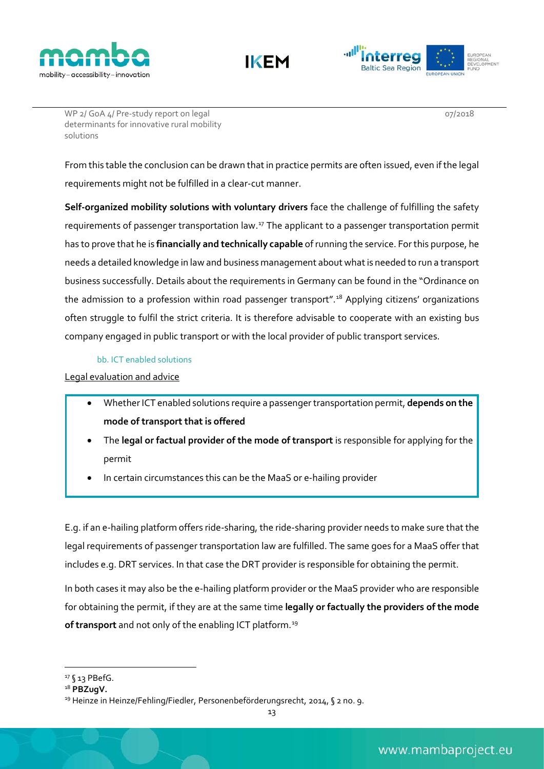





07/2018

From this table the conclusion can be drawn that in practice permits are often issued, even if the legal requirements might not be fulfilled in a clear-cut manner.

**Self-organized mobility solutions with voluntary drivers** face the challenge of fulfilling the safety requirements of passenger transportation law.<sup>[17](#page-17-0)</sup> The applicant to a passenger transportation permit has to prove that he is **financially and technically capable** of running the service. For this purpose, he needs a detailed knowledge in law and business management about what is needed to run a transport business successfully. Details about the requirements in Germany can be found in the "Ordinance on the admission to a profession within road passenger transport".<sup>[18](#page-17-1)</sup> Applying citizens' organizations often struggle to fulfil the strict criteria. It is therefore advisable to cooperate with an existing bus company engaged in public transport or with the local provider of public transport services.

#### bb. ICT enabled solutions

Legal evaluation and advice

- Whether ICT enabled solutions require a passenger transportation permit, **depends on the mode of transport that is offered**
- The **legal or factual provider of the mode of transport** is responsible for applying for the permit
- In certain circumstances this can be the MaaS or e-hailing provider

E.g. if an e-hailing platform offers ride-sharing, the ride-sharing provider needs to make sure that the legal requirements of passenger transportation law are fulfilled. The same goes for a MaaS offer that includes e.g. DRT services. In that case the DRT provider is responsible for obtaining the permit.

In both cases it may also be the e-hailing platform provider or the MaaS provider who are responsible for obtaining the permit, if they are at the same time **legally or factually the providers of the mode**  of transport and not only of the enabling ICT platform.<sup>[19](#page-17-2)</sup>

<sup>17 § 13</sup> PBefG.

<span id="page-17-2"></span><span id="page-17-1"></span><span id="page-17-0"></span><sup>18</sup> **PBZugV.**

<sup>&</sup>lt;sup>19</sup> Heinze in Heinze/Fehling/Fiedler, Personenbeförderungsrecht, 2014, § 2 no. 9.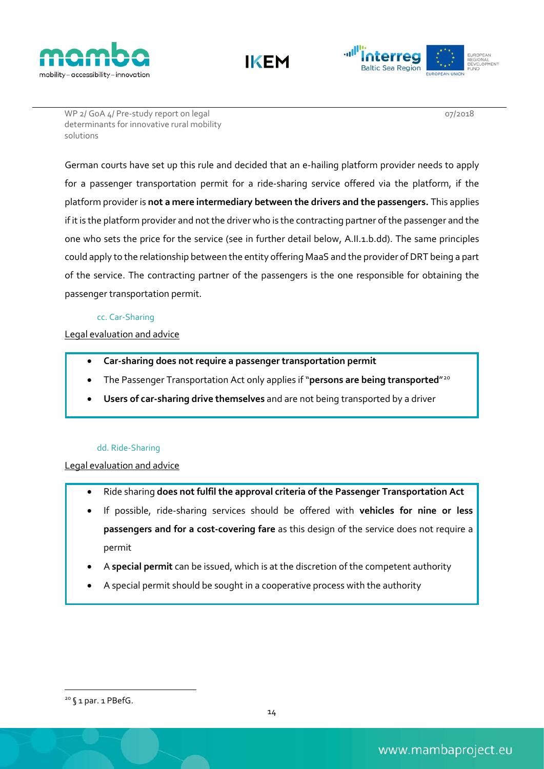





07/2018

German courts have set up this rule and decided that an e-hailing platform provider needs to apply for a passenger transportation permit for a ride-sharing service offered via the platform, if the platform provider is **not a mere intermediary between the drivers and the passengers.** This applies if it is the platform provider and not the driver who is the contracting partner of the passenger and the one who sets the price for the service (see in further detail below, A.II.1.b.dd). The same principles could apply to the relationship between the entity offering MaaS and the provider of DRT being a part of the service. The contracting partner of the passengers is the one responsible for obtaining the passenger transportation permit.

#### cc. Car-Sharing

Legal evaluation and advice

- **Car-sharing does not require a passenger transportation permit**
- The Passenger Transportation Act only applies if "**persons are being transported**"[20](#page-18-0)
- **Users of car-sharing drive themselves** and are not being transported by a driver

#### dd. Ride-Sharing

#### Legal evaluation and advice

- Ride sharing **does not fulfil the approval criteria of the Passenger Transportation Act**
- If possible, ride-sharing services should be offered with **vehicles for nine or less passengers and for a cost-covering fare** as this design of the service does not require a permit
- A **special permit** can be issued, which is at the discretion of the competent authority
- A special permit should be sought in a cooperative process with the authority

<span id="page-18-0"></span> <sup>20</sup> § 1 par. 1 PBefG.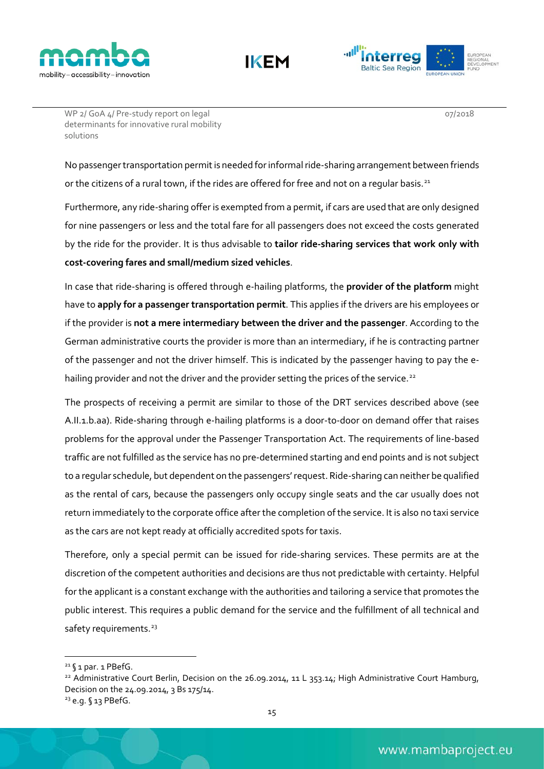





07/2018

No passenger transportation permit is needed for informal ride-sharing arrangement between friends or the citizens of a rural town, if the rides are offered for free and not on a regular basis.<sup>[21](#page-19-0)</sup>

Furthermore, any ride-sharing offer is exempted from a permit, if cars are used that are only designed for nine passengers or less and the total fare for all passengers does not exceed the costs generated by the ride for the provider. It is thus advisable to **tailor ride-sharing services that work only with cost-covering fares and small/medium sized vehicles**.

In case that ride-sharing is offered through e-hailing platforms, the **provider of the platform** might have to **apply for a passenger transportation permit**. This applies if the drivers are his employees or if the provider is **not a mere intermediary between the driver and the passenger**. According to the German administrative courts the provider is more than an intermediary, if he is contracting partner of the passenger and not the driver himself. This is indicated by the passenger having to pay the e-hailing provider and not the driver and the provider setting the prices of the service.<sup>[22](#page-19-1)</sup>

The prospects of receiving a permit are similar to those of the DRT services described above (see A.II.1.b.aa). Ride-sharing through e-hailing platforms is a door-to-door on demand offer that raises problems for the approval under the Passenger Transportation Act. The requirements of line-based traffic are not fulfilled as the service has no pre-determined starting and end points and is not subject to a regular schedule, but dependent on the passengers' request. Ride-sharing can neither be qualified as the rental of cars, because the passengers only occupy single seats and the car usually does not return immediately to the corporate office after the completion of the service. It is also no taxi service as the cars are not kept ready at officially accredited spots for taxis.

Therefore, only a special permit can be issued for ride-sharing services. These permits are at the discretion of the competent authorities and decisions are thus not predictable with certainty. Helpful for the applicant is a constant exchange with the authorities and tailoring a service that promotes the public interest. This requires a public demand for the service and the fulfillment of all technical and safety requirements.<sup>23</sup>

<span id="page-19-0"></span> $21$   $\sqrt{21}$  par. 1 PBefG.

<span id="page-19-2"></span><span id="page-19-1"></span><sup>&</sup>lt;sup>22</sup> Administrative Court Berlin, Decision on the 26.09.2014, 11 L 353.14; High Administrative Court Hamburg, Decision on the 24.09.2014, 3 Bs 175/14. <sup>23</sup> е. , С 13 PBefG.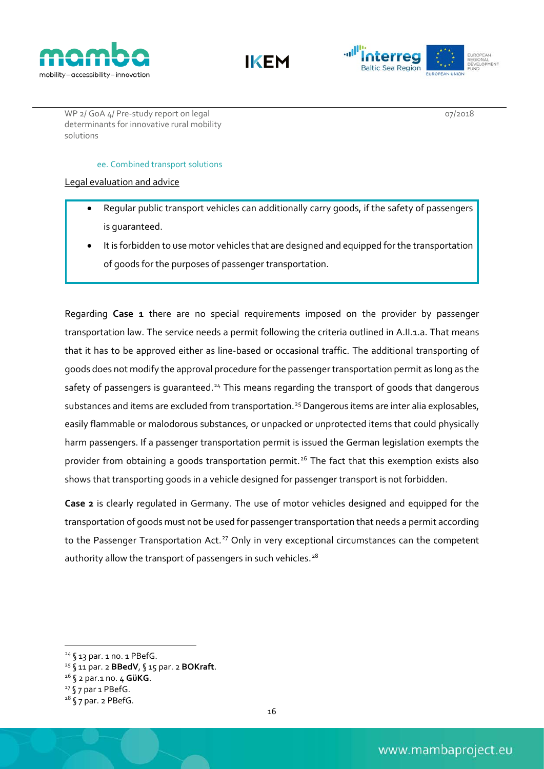





07/2018

#### ee. Combined transport solutions

Legal evaluation and advice

- Regular public transport vehicles can additionally carry goods, if the safety of passengers is guaranteed.
- It is forbidden to use motor vehicles that are designed and equipped for the transportation of goods for the purposes of passenger transportation.

Regarding **Case 1** there are no special requirements imposed on the provider by passenger transportation law. The service needs a permit following the criteria outlined in A.II.1.a. That means that it has to be approved either as line-based or occasional traffic. The additional transporting of goods does not modify the approval procedure for the passenger transportation permit as long as the safety of passengers is quaranteed.<sup>[24](#page-20-0)</sup> This means regarding the transport of goods that dangerous substances and items are excluded from transportation.<sup>[25](#page-20-1)</sup> Dangerous items are inter alia explosables, easily flammable or malodorous substances, or unpacked or unprotected items that could physically harm passengers. If a passenger transportation permit is issued the German legislation exempts the provider from obtaining a goods transportation permit.<sup>[26](#page-20-2)</sup> The fact that this exemption exists also shows that transporting goods in a vehicle designed for passenger transport is not forbidden.

**Case 2** is clearly regulated in Germany. The use of motor vehicles designed and equipped for the transportation of goods must not be used for passenger transportation that needs a permit according to the Passenger Transportation Act.<sup>[27](#page-20-3)</sup> Only in very exceptional circumstances can the competent authority allow the transport of passengers in such vehicles.<sup>[28](#page-20-4)</sup>

<span id="page-20-0"></span> <sup>24</sup> § 13 par. 1 no. 1 PBefG.

<span id="page-20-1"></span><sup>25</sup> § 11 par. 2 **BBedV**, § 15 par. 2 **BOKraft**.

<span id="page-20-2"></span><sup>26</sup> § 2 par.1 no. 4 **GüKG**.

<span id="page-20-3"></span><sup>27</sup> § 7 par 1 PBefG.

<span id="page-20-4"></span> $28$  § 7 par. 2 PBefG.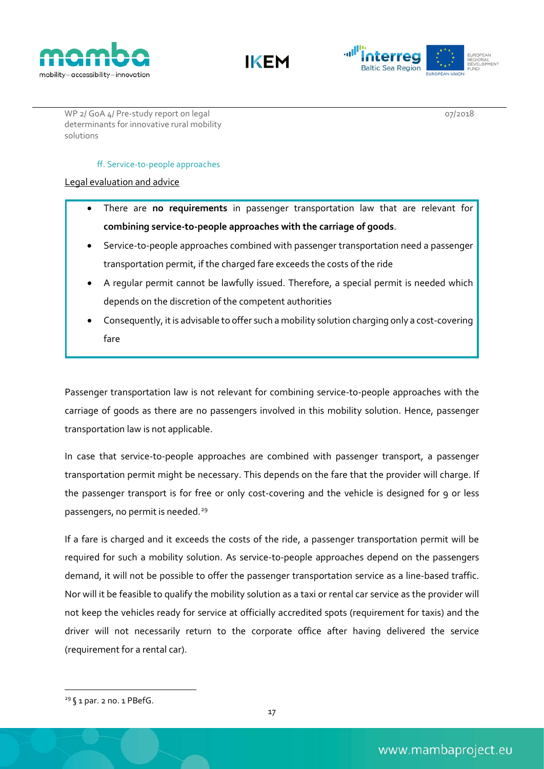





07/2018

#### ff. Service-to-people approaches

Legal evaluation and advice

- There are **no requirements** in passenger transportation law that are relevant for **combining service-to-people approaches with the carriage of goods**.
- Service-to-people approaches combined with passenger transportation need a passenger transportation permit, if the charged fare exceeds the costs of the ride
- A regular permit cannot be lawfully issued. Therefore, a special permit is needed which depends on the discretion of the competent authorities
- Consequently, it is advisable to offer such a mobility solution charging only a cost-covering fare

Passenger transportation law is not relevant for combining service-to-people approaches with the carriage of goods as there are no passengers involved in this mobility solution. Hence, passenger transportation law is not applicable.

In case that service-to-people approaches are combined with passenger transport, a passenger transportation permit might be necessary. This depends on the fare that the provider will charge. If the passenger transport is for free or only cost-covering and the vehicle is designed for 9 or less passengers, no permit is needed.<sup>[29](#page-21-0)</sup>

If a fare is charged and it exceeds the costs of the ride, a passenger transportation permit will be required for such a mobility solution. As service-to-people approaches depend on the passengers demand, it will not be possible to offer the passenger transportation service as a line-based traffic. Nor will it be feasible to qualify the mobility solution as a taxi or rental car service as the provider will not keep the vehicles ready for service at officially accredited spots (requirement for taxis) and the driver will not necessarily return to the corporate office after having delivered the service (requirement for a rental car).

<span id="page-21-0"></span> $29$  § 1 par. 2 no. 1 PBefG.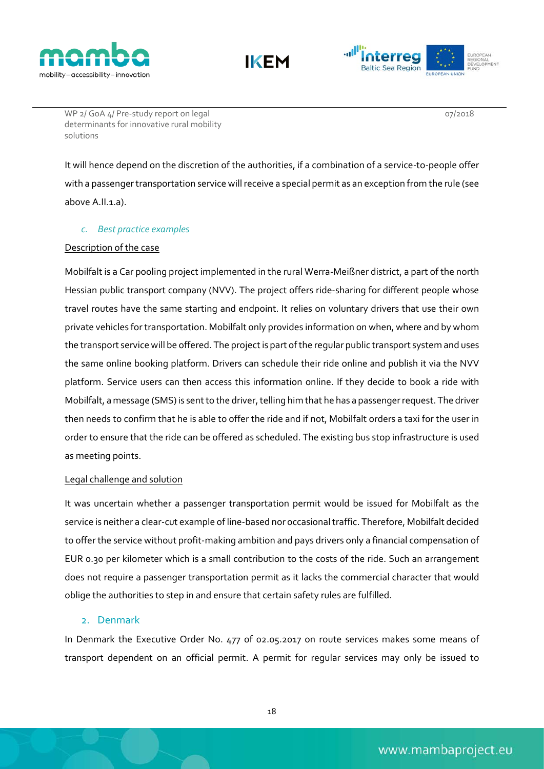





07/2018

It will hence depend on the discretion of the authorities, if a combination of a service-to-people offer with a passenger transportation service will receive a special permit as an exception from the rule (see above A.II.1.a).

#### *c. Best practice examples*

#### Description of the case

Mobilfalt is a Car pooling project implemented in the rural Werra-Meißner district, a part of the north Hessian public transport company (NVV). The project offers ride-sharing for different people whose travel routes have the same starting and endpoint. It relies on voluntary drivers that use their own private vehicles for transportation. Mobilfalt only provides information on when, where and by whom the transport service will be offered. The project is part of the regular public transport system and uses the same online booking platform. Drivers can schedule their ride online and publish it via the NVV platform. Service users can then access this information online. If they decide to book a ride with Mobilfalt, a message (SMS) is sent to the driver, telling him that he has a passengerrequest. The driver then needs to confirm that he is able to offer the ride and if not, Mobilfalt orders a taxi for the user in order to ensure that the ride can be offered as scheduled. The existing bus stop infrastructure is used as meeting points.

#### Legal challenge and solution

It was uncertain whether a passenger transportation permit would be issued for Mobilfalt as the service is neither a clear-cut example of line-based nor occasional traffic. Therefore, Mobilfalt decided to offer the service without profit-making ambition and pays drivers only a financial compensation of EUR 0.30 per kilometer which is a small contribution to the costs of the ride. Such an arrangement does not require a passenger transportation permit as it lacks the commercial character that would oblige the authorities to step in and ensure that certain safety rules are fulfilled.

#### <span id="page-22-0"></span>2. Denmark

In Denmark the Executive Order No. 477 of 02.05.2017 on route services makes some means of transport dependent on an official permit. A permit for regular services may only be issued to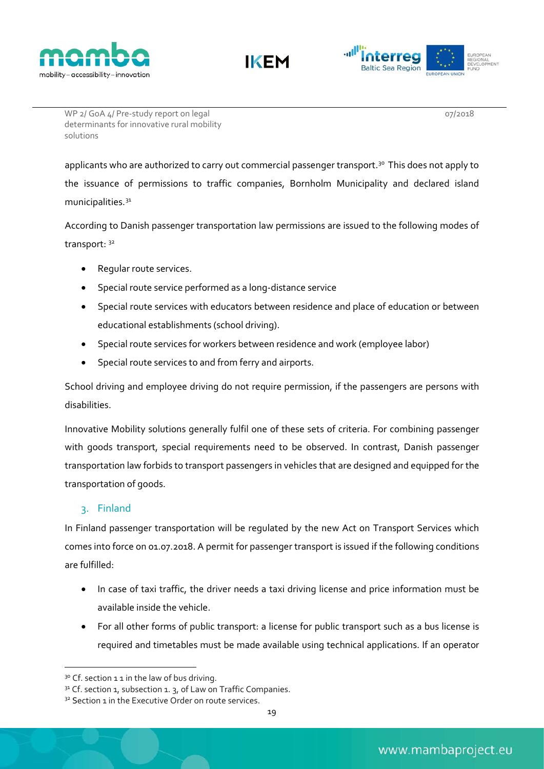





07/2018

applicants who are authorized to carry out commercial passenger transport.<sup>[30](#page-23-1)</sup> This does not apply to the issuance of permissions to traffic companies, Bornholm Municipality and declared island municipalities.[31](#page-23-2)

According to Danish passenger transportation law permissions are issued to the following modes of transport: <sup>[32](#page-23-3)</sup>

- Regular route services.
- Special route service performed as a long-distance service
- Special route services with educators between residence and place of education or between educational establishments (school driving).
- Special route services for workers between residence and work (employee labor)
- Special route services to and from ferry and airports.

School driving and employee driving do not require permission, if the passengers are persons with disabilities.

Innovative Mobility solutions generally fulfil one of these sets of criteria. For combining passenger with goods transport, special requirements need to be observed. In contrast, Danish passenger transportation law forbids to transport passengers in vehicles that are designed and equipped for the transportation of goods.

#### <span id="page-23-0"></span>3. Finland

In Finland passenger transportation will be regulated by the new Act on Transport Services which comes into force on 01.07.2018. A permit for passenger transport is issued if the following conditions are fulfilled:

- In case of taxi traffic, the driver needs a taxi driving license and price information must be available inside the vehicle.
- For all other forms of public transport: a license for public transport such as a bus license is required and timetables must be made available using technical applications. If an operator

<span id="page-23-1"></span><sup>3</sup>º Cf. section 1 1 in the law of bus driving.

<span id="page-23-2"></span><sup>3&</sup>lt;sup>1</sup> Cf. section 1, subsection 1. 3, of Law on Traffic Companies.

<span id="page-23-3"></span><sup>&</sup>lt;sup>32</sup> Section 1 in the Executive Order on route services.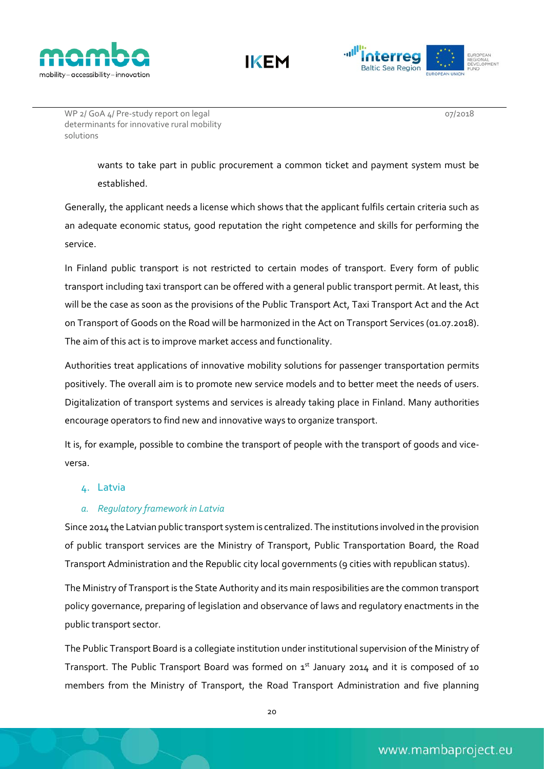





07/2018

wants to take part in public procurement a common ticket and payment system must be established.

Generally, the applicant needs a license which shows that the applicant fulfils certain criteria such as an adequate economic status, good reputation the right competence and skills for performing the service.

In Finland public transport is not restricted to certain modes of transport. Every form of public transport including taxi transport can be offered with a general public transport permit. At least, this will be the case as soon as the provisions of the Public Transport Act, Taxi Transport Act and the Act on Transport of Goods on the Road will be harmonized in the Act on Transport Services (01.07.2018). The aim of this act is to improve market access and functionality.

Authorities treat applications of innovative mobility solutions for passenger transportation permits positively. The overall aim is to promote new service models and to better meet the needs of users. Digitalization of transport systems and services is already taking place in Finland. Many authorities encourage operators to find new and innovative ways to organize transport.

It is, for example, possible to combine the transport of people with the transport of goods and viceversa.

#### <span id="page-24-0"></span>4. Latvia

#### *a. Regulatory framework in Latvia*

Since 2014 the Latvian public transport system is centralized. The institutions involved in the provision of public transport services are the Ministry of Transport, Public Transportation Board, the Road Transport Administration and the Republic city local governments (9 cities with republican status).

The Ministry of Transport is the State Authority and its main resposibilities are the common transport policy governance, preparing of legislation and observance of laws and regulatory enactments in the public transport sector.

The Public Transport Board is a collegiate institution under institutional supervision of the Ministry of Transport. The Public Transport Board was formed on  $1<sup>st</sup>$  January 2014 and it is composed of 10 members from the Ministry of Transport, the Road Transport Administration and five planning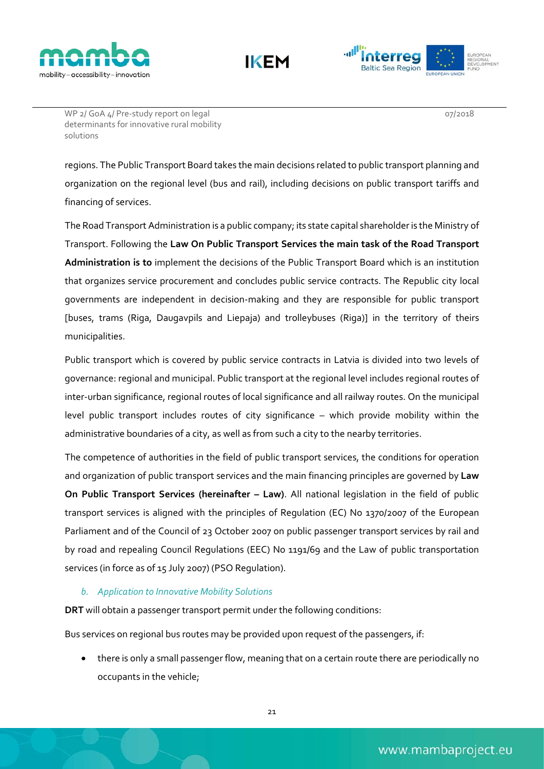





07/2018

regions. The Public Transport Board takes the main decisions related to public transport planning and organization on the regional level (bus and rail), including decisions on public transport tariffs and financing of services.

The Road Transport Administration is a public company; its state capital shareholderis the Ministry of Transport. Following the **Law On Public Transport Services the main task of the Road Transport Administration is to** implement the decisions of the Public Transport Board which is an institution that organizes service procurement and concludes public service contracts. The Republic city local governments are independent in decision-making and they are responsible for public transport [buses, trams (Riga, Daugavpils and Liepaja) and trolleybuses (Riga)] in the territory of theirs municipalities.

Public transport which is covered by public service contracts in Latvia is divided into two levels of governance: regional and municipal. Public transport at the regional level includes regional routes of inter-urban significance, regional routes of local significance and all railway routes. On the municipal level public transport includes routes of city significance – which provide mobility within the administrative boundaries of a city, as well as from such a city to the nearby territories.

The competence of authorities in the field of public transport services, the conditions for operation and organization of public transport services and the main financing principles are governed by **Law On Public Transport Services (hereinafter – Law)**. All national legislation in the field of public transport services is aligned with the principles of Regulation (EC) No 1370/2007 of the European Parliament and of the Council of 23 October 2007 on public passenger transport services by rail and by road and repealing Council Regulations (EEC) No 1191/69 and the Law of public transportation services (in force as of 15 July 2007) (PSO Regulation).

#### *b. Application to Innovative Mobility Solutions*

**DRT** will obtain a passenger transport permit under the following conditions:

Bus services on regional bus routes may be provided upon request of the passengers, if:

• there is only a small passenger flow, meaning that on a certain route there are periodically no occupants in the vehicle;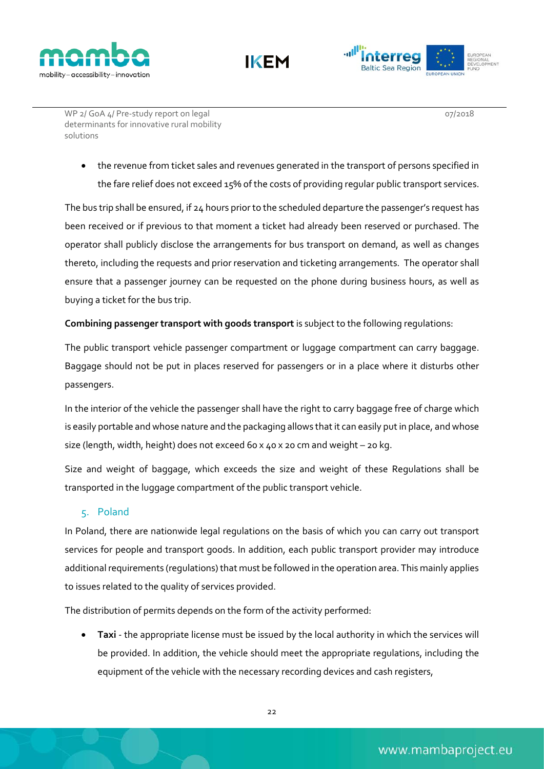





07/2018

• the revenue from ticket sales and revenues generated in the transport of persons specified in the fare relief does not exceed 15% of the costs of providing regular public transport services.

The bus trip shall be ensured, if 24 hours prior to the scheduled departure the passenger's request has been received or if previous to that moment a ticket had already been reserved or purchased. The operator shall publicly disclose the arrangements for bus transport on demand, as well as changes thereto, including the requests and prior reservation and ticketing arrangements. The operator shall ensure that a passenger journey can be requested on the phone during business hours, as well as buying a ticket for the bus trip.

#### **Combining passenger transport with goods transport** is subject to the following regulations:

The public transport vehicle passenger compartment or luggage compartment can carry baggage. Baggage should not be put in places reserved for passengers or in a place where it disturbs other passengers.

In the interior of the vehicle the passenger shall have the right to carry baggage free of charge which is easily portable and whose nature and the packaging allows that it can easily put in place, and whose size (length, width, height) does not exceed 60 x 40 x 20 cm and weight – 20 kg.

Size and weight of baggage, which exceeds the size and weight of these Regulations shall be transported in the luggage compartment of the public transport vehicle.

#### <span id="page-26-0"></span>5. Poland

In Poland, there are nationwide legal regulations on the basis of which you can carry out transport services for people and transport goods. In addition, each public transport provider may introduce additional requirements (regulations) that must be followed in the operation area. This mainly applies to issues related to the quality of services provided.

The distribution of permits depends on the form of the activity performed:

• **Taxi** - the appropriate license must be issued by the local authority in which the services will be provided. In addition, the vehicle should meet the appropriate regulations, including the equipment of the vehicle with the necessary recording devices and cash registers,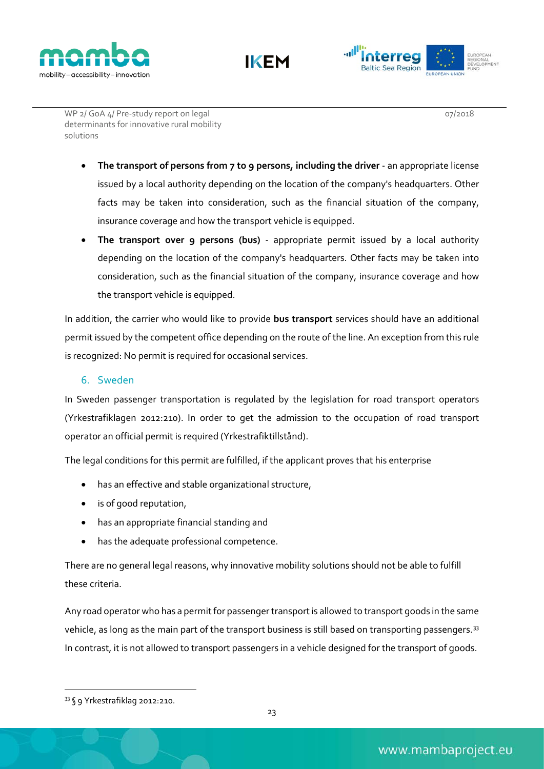





07/2018

- **The transport of persons from 7 to 9 persons, including the driver** an appropriate license issued by a local authority depending on the location of the company's headquarters. Other facts may be taken into consideration, such as the financial situation of the company, insurance coverage and how the transport vehicle is equipped.
- **The transport over 9 persons (bus)** appropriate permit issued by a local authority depending on the location of the company's headquarters. Other facts may be taken into consideration, such as the financial situation of the company, insurance coverage and how the transport vehicle is equipped.

In addition, the carrier who would like to provide **bus transport** services should have an additional permit issued by the competent office depending on the route of the line. An exception from this rule is recognized: No permit is required for occasional services.

#### <span id="page-27-0"></span>6. Sweden

In Sweden passenger transportation is regulated by the legislation for road transport operators (Yrkestrafiklagen 2012:210). In order to get the admission to the occupation of road transport operator an official permit is required (Yrkestrafiktillstånd).

The legal conditions for this permit are fulfilled, if the applicant proves that his enterprise

- has an effective and stable organizational structure,
- is of good reputation,
- has an appropriate financial standing and
- has the adequate professional competence.

There are no general legal reasons, why innovative mobility solutions should not be able to fulfill these criteria.

Any road operator who has a permit for passenger transport is allowed to transport goods in the same vehicle, as long as the main part of the transport business is still based on transporting passengers.<sup>[33](#page-27-1)</sup> In contrast, it is not allowed to transport passengers in a vehicle designed for the transport of goods.

<span id="page-27-1"></span> <sup>33</sup> § 9 Yrkestrafiklag 2012:210.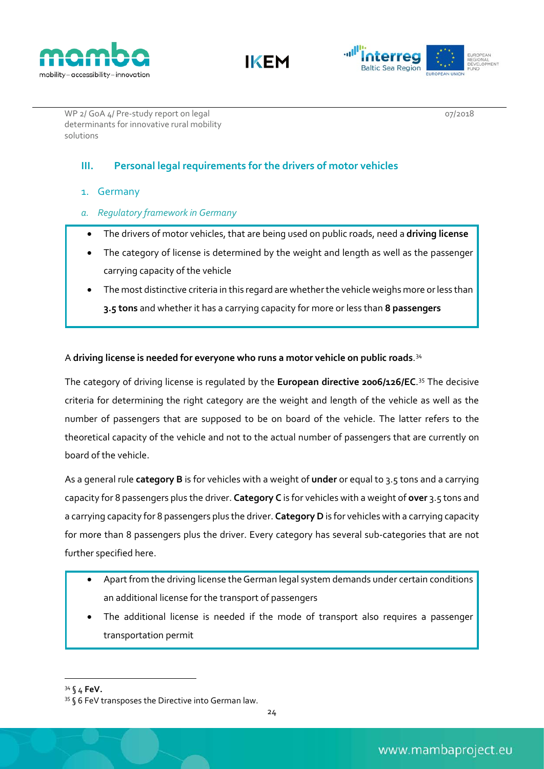





07/2018

#### <span id="page-28-0"></span>**III. Personal legal requirements for the drivers of motor vehicles**

- <span id="page-28-1"></span>1. Germany
- *a. Regulatory framework in Germany*
- The drivers of motor vehicles, that are being used on public roads, need a **driving license**
- The category of license is determined by the weight and length as well as the passenger carrying capacity of the vehicle
- The most distinctive criteria in this regard are whether the vehicle weighs more or less than **3.5 tons** and whether it has a carrying capacity for more or less than **8 passengers**

#### A **driving license is needed for everyone who runs a motor vehicle on public roads**. [34](#page-28-2)

The category of driving license is regulated by the **European directive 2006/126/EC**. [35](#page-28-3) The decisive criteria for determining the right category are the weight and length of the vehicle as well as the number of passengers that are supposed to be on board of the vehicle. The latter refers to the theoretical capacity of the vehicle and not to the actual number of passengers that are currently on board of the vehicle.

As a general rule **category B** is for vehicles with a weight of **under** or equal to 3.5 tons and a carrying capacity for 8 passengers plus the driver. **Category C** is for vehicles with a weight of **over** 3.5 tons and a carrying capacity for 8 passengers plus the driver. **Category D**is for vehicles with a carrying capacity for more than 8 passengers plus the driver. Every category has several sub-categories that are not further specified here.

- Apart from the driving license the German legal system demands under certain conditions an additional license for the transport of passengers
- The additional license is needed if the mode of transport also requires a passenger transportation permit

<span id="page-28-2"></span> <sup>34</sup> § 4 **FeV.**

<span id="page-28-3"></span><sup>35</sup> § 6 FeV transposes the Directive into German law.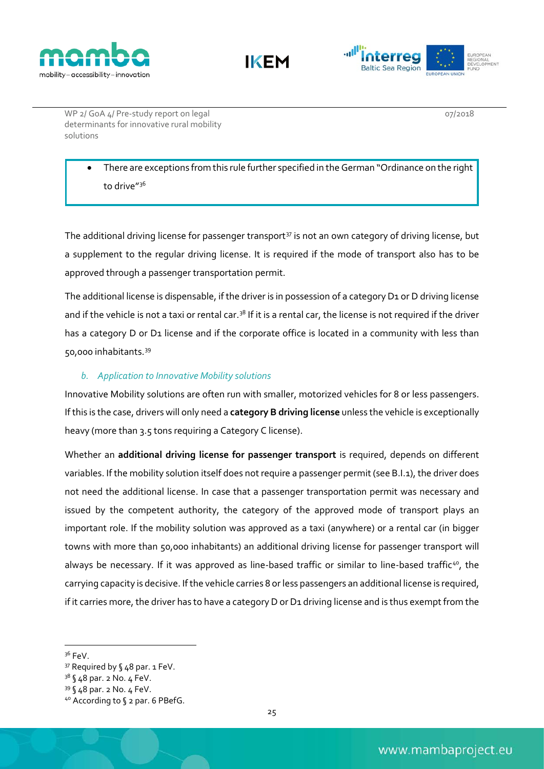





07/2018

### • There are exceptions from this rule further specified in the German "Ordinance on the right to drive"<sup>[36](#page-29-0)</sup>

The additional driving license for passenger transport<sup>[37](#page-29-1)</sup> is not an own category of driving license, but a supplement to the regular driving license. It is required if the mode of transport also has to be approved through a passenger transportation permit.

The additional license is dispensable, if the driver is in possession of a category D1 or D driving license and if the vehicle is not a taxi or rental car.<sup>[38](#page-29-2)</sup> If it is a rental car, the license is not required if the driver has a category D or D1 license and if the corporate office is located in a community with less than 50,000 inhabitants.[39](#page-29-3)

#### *b. Application to Innovative Mobility solutions*

Innovative Mobility solutions are often run with smaller, motorized vehicles for 8 or less passengers. If this is the case, drivers will only need a **category B driving license** unless the vehicle is exceptionally heavy (more than 3.5 tons requiring a Category C license).

Whether an **additional driving license for passenger transport** is required, depends on different variables. If the mobility solution itself does not require a passenger permit (see B.I.1), the driver does not need the additional license. In case that a passenger transportation permit was necessary and issued by the competent authority, the category of the approved mode of transport plays an important role. If the mobility solution was approved as a taxi (anywhere) or a rental car (in bigger towns with more than 50,000 inhabitants) an additional driving license for passenger transport will always be necessary. If it was approved as line-based traffic or similar to line-based traffic<sup>40</sup>, the carrying capacity is decisive. If the vehicle carries 8 or less passengers an additional license is required, if it carries more, the driver has to have a category D or D1 driving license and is thus exempt from the

<span id="page-29-0"></span><sup>&</sup>lt;sup>36</sup> FeV.

<span id="page-29-1"></span><sup>37</sup> Required by § 48 par. 1 FeV.

<span id="page-29-2"></span> $3^8$  § 48 par. 2 No. 4 FeV.

<span id="page-29-3"></span><sup>39</sup> § 48 par. 2 No. 4 FeV.

<span id="page-29-4"></span><sup>40</sup> According to § 2 par. 6 PBefG.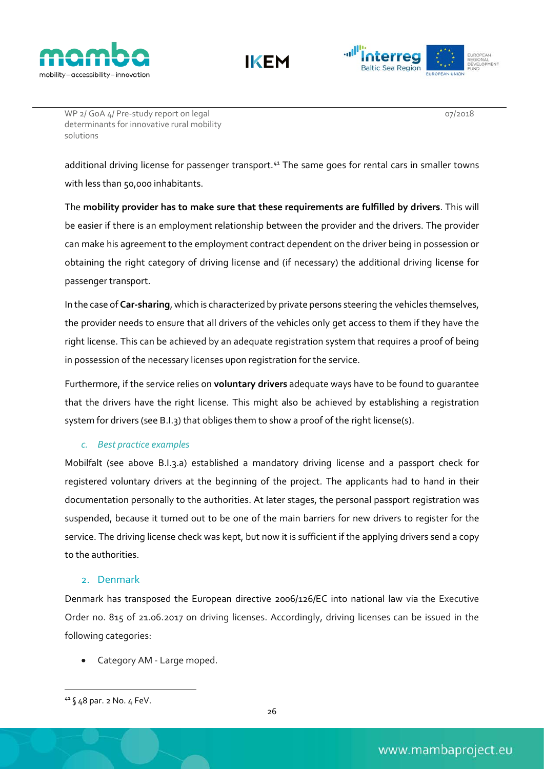





07/2018

additional driving license for passenger transport.<sup>[41](#page-30-1)</sup> The same goes for rental cars in smaller towns with less than 50,000 inhabitants.

The **mobility provider has to make sure that these requirements are fulfilled by drivers**. This will be easier if there is an employment relationship between the provider and the drivers. The provider can make his agreement to the employment contract dependent on the driver being in possession or obtaining the right category of driving license and (if necessary) the additional driving license for passenger transport.

In the case of **Car-sharing**, which is characterized by private persons steering the vehicles themselves, the provider needs to ensure that all drivers of the vehicles only get access to them if they have the right license. This can be achieved by an adequate registration system that requires a proof of being in possession of the necessary licenses upon registration for the service.

Furthermore, if the service relies on **voluntary drivers** adequate ways have to be found to guarantee that the drivers have the right license. This might also be achieved by establishing a registration system for drivers (see B.I.3) that obliges them to show a proof of the right license(s).

#### *c. Best practice examples*

Mobilfalt (see above B.I.3.a) established a mandatory driving license and a passport check for registered voluntary drivers at the beginning of the project. The applicants had to hand in their documentation personally to the authorities. At later stages, the personal passport registration was suspended, because it turned out to be one of the main barriers for new drivers to register for the service. The driving license check was kept, but now it is sufficient if the applying drivers send a copy to the authorities.

#### <span id="page-30-0"></span>2. Denmark

Denmark has transposed the European directive 2006/126/EC into national law via the Executive Order no. 815 of 21.06.2017 on driving licenses. Accordingly, driving licenses can be issued in the following categories:

• Category AM - Large moped.

<span id="page-30-1"></span> <sup>41</sup> § 48 par. 2 No. 4 FeV.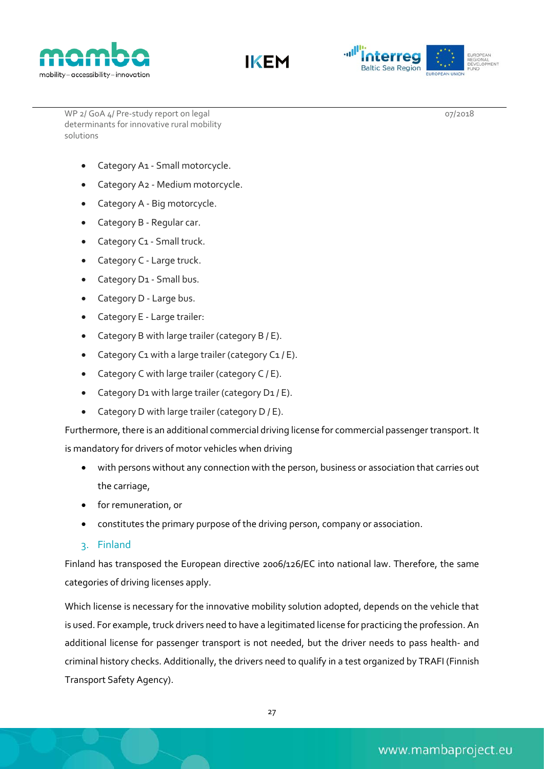





WP 2/ GoA 4/ Pre-study report on legal determinants for innovative rural mobility solutions

- Category A1 Small motorcycle.
- Category A2 Medium motorcycle.
- Category A Big motorcycle.
- Category B Regular car.
- Category C1 Small truck.
- Category C Large truck.
- Category D1 Small bus.
- Category D Large bus.
- Category E Large trailer:
- Category B with large trailer (category B / E).
- Category C1 with a large trailer (category  $C_1 / E$ ).
- Category C with large trailer (category C / E).
- Category D1 with large trailer (category D1 / E).
- Category D with large trailer (category D / E).

Furthermore, there is an additional commercial driving license for commercial passenger transport. It is mandatory for drivers of motor vehicles when driving

- with persons without any connection with the person, business or association that carries out the carriage,
- for remuneration, or
- constitutes the primary purpose of the driving person, company or association.
- <span id="page-31-0"></span>3. Finland

Finland has transposed the European directive 2006/126/EC into national law. Therefore, the same categories of driving licenses apply.

Which license is necessary for the innovative mobility solution adopted, depends on the vehicle that is used. For example, truck drivers need to have a legitimated license for practicing the profession. An additional license for passenger transport is not needed, but the driver needs to pass health- and criminal history checks. Additionally, the drivers need to qualify in a test organized by TRAFI (Finnish Transport Safety Agency).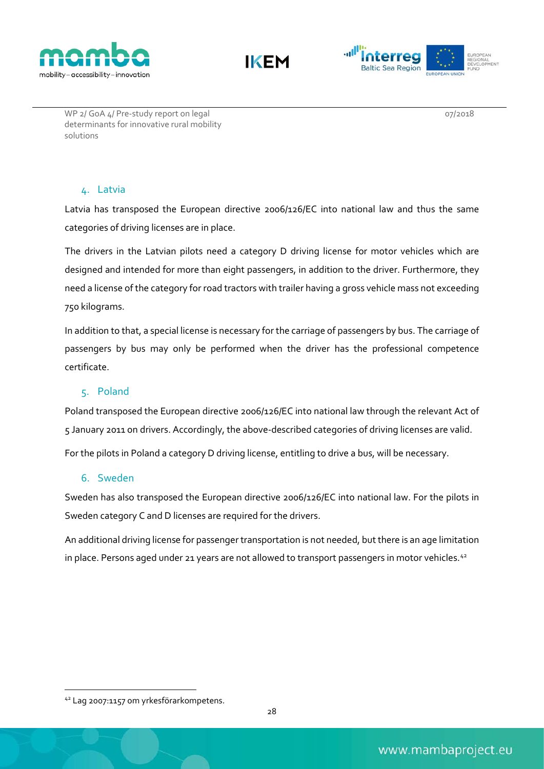





WP 2/ GoA 4/ Pre-study report on legal determinants for innovative rural mobility solutions

#### <span id="page-32-0"></span>4. Latvia

Latvia has transposed the European directive 2006/126/EC into national law and thus the same categories of driving licenses are in place.

The drivers in the Latvian pilots need a category D driving license for motor vehicles which are designed and intended for more than eight passengers, in addition to the driver. Furthermore, they need a license of the category for road tractors with trailer having a gross vehicle mass not exceeding 750 kilograms.

In addition to that, a special license is necessary for the carriage of passengers by bus. The carriage of passengers by bus may only be performed when the driver has the professional competence certificate.

#### <span id="page-32-1"></span>5. Poland

Poland transposed the European directive 2006/126/EC into national law through the relevant Act of 5 January 2011 on drivers. Accordingly, the above-described categories of driving licenses are valid.

For the pilots in Poland a category D driving license, entitling to drive a bus, will be necessary.

#### <span id="page-32-2"></span>6. Sweden

Sweden has also transposed the European directive 2006/126/EC into national law. For the pilots in Sweden category C and D licenses are required for the drivers.

An additional driving license for passenger transportation is not needed, but there is an age limitation in place. Persons aged under 21 years are not allowed to transport passengers in motor vehicles.<sup>[42](#page-32-3)</sup>

<span id="page-32-3"></span> <sup>42</sup> Lag 2007:1157 om yrkesförarkompetens.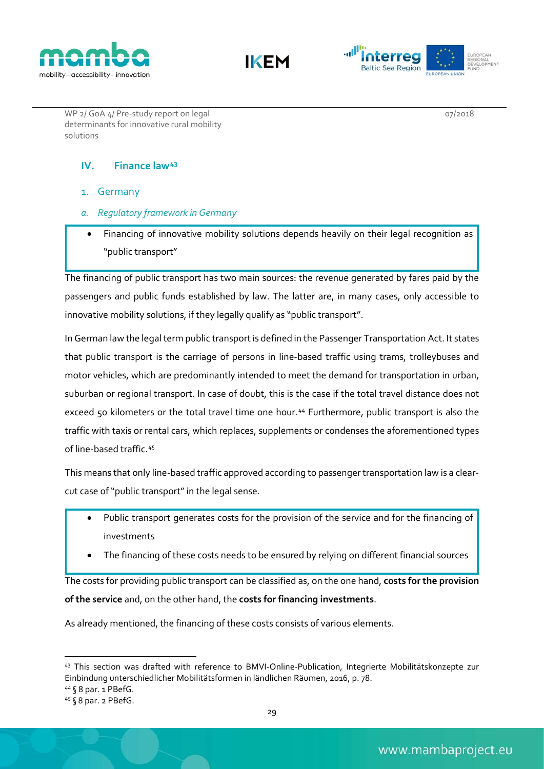





WP 2/ GoA 4/ Pre-study report on legal determinants for innovative rural mobility solutions

#### <span id="page-33-0"></span>**IV. Finance law[43](#page-33-2)**

- <span id="page-33-1"></span>1. Germany
- *a. Regulatory framework in Germany*
	- Financing of innovative mobility solutions depends heavily on their legal recognition as "public transport"

The financing of public transport has two main sources: the revenue generated by fares paid by the passengers and public funds established by law. The latter are, in many cases, only accessible to innovative mobility solutions, if they legally qualify as "public transport".

In German law the legal term public transport is defined in the Passenger Transportation Act. It states that public transport is the carriage of persons in line-based traffic using trams, trolleybuses and motor vehicles, which are predominantly intended to meet the demand for transportation in urban, suburban or regional transport. In case of doubt, this is the case if the total travel distance does not exceed 50 kilometers or the total travel time one hour.<sup>[44](#page-33-3)</sup> Furthermore, public transport is also the traffic with taxis or rental cars, which replaces, supplements or condenses the aforementioned types of line-based traffic[.45](#page-33-4)

This means that only line-based traffic approved according to passenger transportation law is a clearcut case of "public transport" in the legal sense.

- Public transport generates costs for the provision of the service and for the financing of investments
- The financing of these costs needs to be ensured by relying on different financial sources

The costs for providing public transport can be classified as, on the one hand, **costs for the provision of the service** and, on the other hand, the **costs for financing investments**.

As already mentioned, the financing of these costs consists of various elements.

<span id="page-33-2"></span> <sup>43</sup> This section was drafted with reference to BMVI-Online-Publication, Integrierte Mobilitätskonzepte zur Einbindung unterschiedlicher Mobilitätsformen in ländlichen Räumen, 2016, p. 78.

<span id="page-33-3"></span><sup>44</sup> § 8 par. 1 PBefG.

<span id="page-33-4"></span><sup>45</sup> § 8 par. 2 PBefG.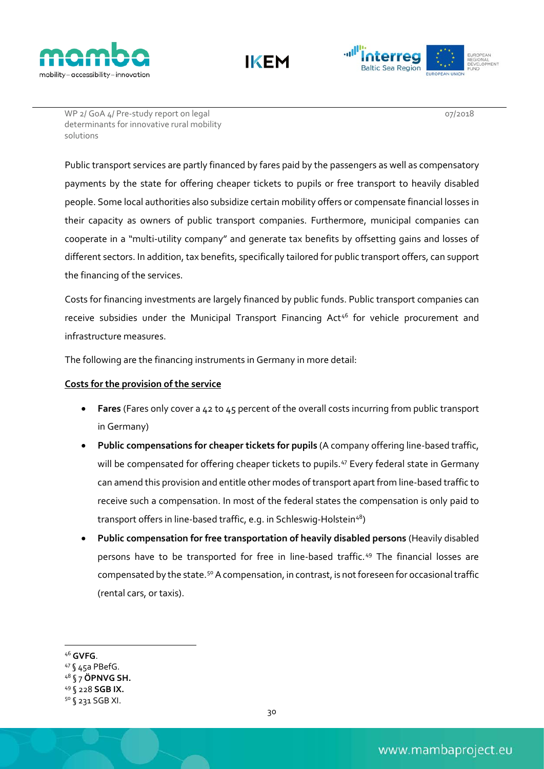





07/2018

Public transport services are partly financed by fares paid by the passengers as well as compensatory payments by the state for offering cheaper tickets to pupils or free transport to heavily disabled people. Some local authorities also subsidize certain mobility offers or compensate financial losses in their capacity as owners of public transport companies. Furthermore, municipal companies can cooperate in a "multi-utility company" and generate tax benefits by offsetting gains and losses of different sectors. In addition, tax benefits, specifically tailored for public transport offers, can support the financing of the services.

Costs for financing investments are largely financed by public funds. Public transport companies can receive subsidies under the Municipal Transport Financing Act<sup>[46](#page-34-0)</sup> for vehicle procurement and infrastructure measures.

The following are the financing instruments in Germany in more detail:

#### **Costs for the provision of the service**

- **Fares** (Fares only cover a 42 to 45 percent of the overall costs incurring from public transport in Germany)
- **Public compensations for cheaper tickets for pupils** (A company offering line-based traffic, will be compensated for offering cheaper tickets to pupils.<sup>[47](#page-34-1)</sup> Every federal state in Germany can amend this provision and entitle other modes of transport apart from line-based traffic to receive such a compensation. In most of the federal states the compensation is only paid to transport offers in line-based traffic, e.g. in Schleswig-Holstein<sup>48</sup>)
- **Public compensation for free transportation of heavily disabled persons** (Heavily disabled persons have to be transported for free in line-based traffic.<sup>[49](#page-34-3)</sup> The financial losses are compensated by the state.<sup>[50](#page-34-4)</sup> A compensation, in contrast, is not foreseen for occasional traffic (rental cars, or taxis).

<span id="page-34-0"></span> <sup>46</sup> **GVFG**.

<span id="page-34-1"></span><sup>47</sup> § 45a PBefG.

<span id="page-34-2"></span><sup>48</sup> § 7 **ÖPNVG SH.**

<span id="page-34-3"></span><sup>49</sup> § 228 **SGB IX.**

<span id="page-34-4"></span><sup>50</sup> § 231 SGB XI.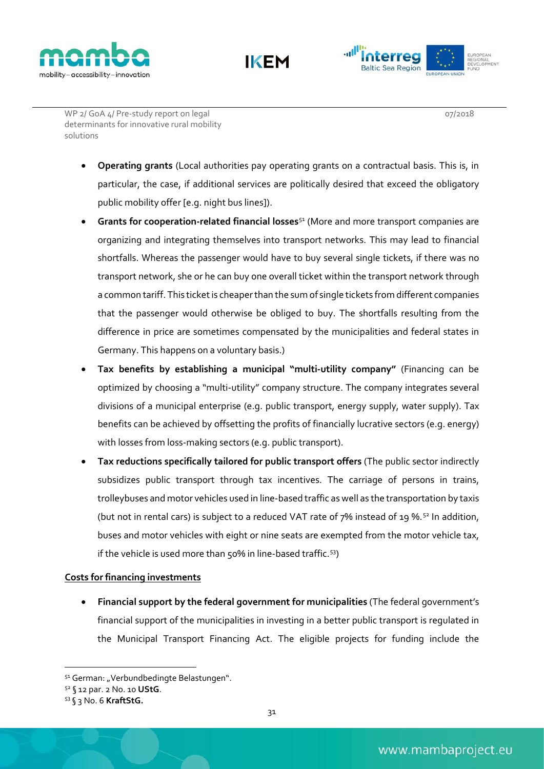





07/2018

- **Operating grants** (Local authorities pay operating grants on a contractual basis. This is, in particular, the case, if additional services are politically desired that exceed the obligatory public mobility offer [e.g. night bus lines]).
- **Grants for cooperation-related financial losses**[51](#page-35-0) (More and more transport companies are organizing and integrating themselves into transport networks. This may lead to financial shortfalls. Whereas the passenger would have to buy several single tickets, if there was no transport network, she or he can buy one overall ticket within the transport network through a common tariff. This ticket is cheaper than the sum of single tickets from different companies that the passenger would otherwise be obliged to buy. The shortfalls resulting from the difference in price are sometimes compensated by the municipalities and federal states in Germany. This happens on a voluntary basis.)
- **Tax benefits by establishing a municipal "multi-utility company"** (Financing can be optimized by choosing a "multi-utility" company structure. The company integrates several divisions of a municipal enterprise (e.g. public transport, energy supply, water supply). Tax benefits can be achieved by offsetting the profits of financially lucrative sectors (e.g. energy) with losses from loss-making sectors (e.g. public transport).
- **Tax reductions specifically tailored for public transport offers** (The public sector indirectly subsidizes public transport through tax incentives. The carriage of persons in trains, trolleybuses and motor vehicles used in line-based traffic as well as the transportation by taxis (but not in rental cars) is subject to a reduced VAT rate of 7% instead of 19 %.<sup>[52](#page-35-1)</sup> In addition, buses and motor vehicles with eight or nine seats are exempted from the motor vehicle tax, if the vehicle is used more than 50% in line-based traffic.<sup>53</sup>)

#### **Costs for financing investments**

• **Financial support by the federal government for municipalities** (The federal government's financial support of the municipalities in investing in a better public transport is regulated in the Municipal Transport Financing Act. The eligible projects for funding include the

<span id="page-35-0"></span><sup>51</sup> German: "Verbundbedingte Belastungen".

<span id="page-35-1"></span><sup>52</sup> § 12 par. 2 No. 10 **UStG**.

<span id="page-35-2"></span><sup>53</sup> § 3 No. 6 **KraftStG.**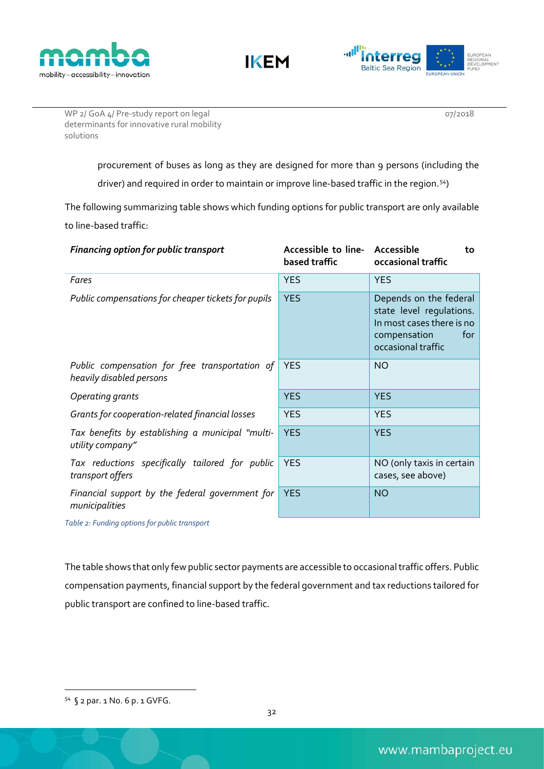





07/2018

procurement of buses as long as they are designed for more than 9 persons (including the

driver) and required in order to maintain or improve line-based traffic in the region.<sup>[54](#page-36-0)</sup>)

The following summarizing table shows which funding options for public transport are only available to line-based traffic:

| Financing option for public transport                                      | Accessible to line- Accessible<br>based traffic | to<br>occasional traffic                                                                                                     |
|----------------------------------------------------------------------------|-------------------------------------------------|------------------------------------------------------------------------------------------------------------------------------|
| Fares                                                                      | <b>YES</b>                                      | <b>YES</b>                                                                                                                   |
| Public compensations for cheaper tickets for pupils                        | <b>YES</b>                                      | Depends on the federal<br>state level regulations.<br>In most cases there is no<br>compensation<br>for<br>occasional traffic |
| Public compensation for free transportation of<br>heavily disabled persons | <b>YES</b>                                      | <b>NO</b>                                                                                                                    |
| <b>Operating grants</b>                                                    | <b>YES</b>                                      | <b>YES</b>                                                                                                                   |
| Grants for cooperation-related financial losses                            | <b>YES</b>                                      | <b>YES</b>                                                                                                                   |
| Tax benefits by establishing a municipal "multi-<br>utility company"       | <b>YES</b>                                      | <b>YES</b>                                                                                                                   |
| Tax reductions specifically tailored for public<br>transport offers        | <b>YES</b>                                      | NO (only taxis in certain<br>cases, see above)                                                                               |
| Financial support by the federal government for<br>municipalities          | <b>YES</b>                                      | <b>NO</b>                                                                                                                    |
| — <i>ii</i> — ii — ii <i>caracteris</i>                                    |                                                 |                                                                                                                              |

*Table 2: Funding options for public transport*

The table shows that only few public sector payments are accessible to occasional traffic offers. Public compensation payments, financial support by the federal government and tax reductions tailored for public transport are confined to line-based traffic.

<span id="page-36-0"></span>54 § 2 par. 1 No. 6 p. 1 GVFG.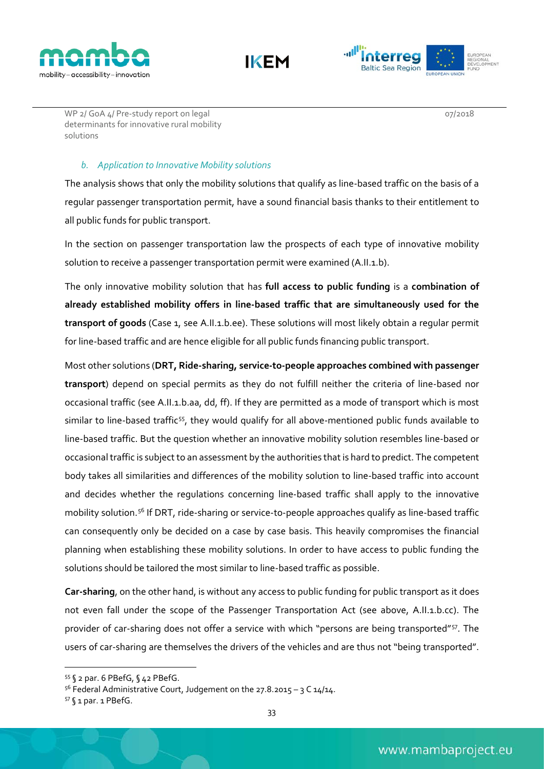

solutions





WP 2/ GoA 4/ Pre-study report on legal determinants for innovative rural mobility 07/2018

#### *b. Application to Innovative Mobility solutions*

The analysis shows that only the mobility solutions that qualify as line-based traffic on the basis of a regular passenger transportation permit, have a sound financial basis thanks to their entitlement to all public funds for public transport.

In the section on passenger transportation law the prospects of each type of innovative mobility solution to receive a passenger transportation permit were examined (A.II.1.b).

The only innovative mobility solution that has **full access to public funding** is a **combination of already established mobility offers in line-based traffic that are simultaneously used for the transport of goods** (Case 1, see A.II.1.b.ee). These solutions will most likely obtain a regular permit for line-based traffic and are hence eligible for all public funds financing public transport.

Most other solutions (**DRT, Ride-sharing, service-to-people approaches combined with passenger transport**) depend on special permits as they do not fulfill neither the criteria of line-based nor occasional traffic (see A.II.1.b.aa, dd, ff). If they are permitted as a mode of transport which is most similar to line-based traffic<sup>[55](#page-37-0)</sup>, they would qualify for all above-mentioned public funds available to line-based traffic. But the question whether an innovative mobility solution resembles line-based or occasional traffic is subject to an assessment by the authorities that is hard to predict. The competent body takes all similarities and differences of the mobility solution to line-based traffic into account and decides whether the regulations concerning line-based traffic shall apply to the innovative mobility solution.[56](#page-37-1) If DRT, ride-sharing or service-to-people approaches qualify as line-based traffic can consequently only be decided on a case by case basis. This heavily compromises the financial planning when establishing these mobility solutions. In order to have access to public funding the solutions should be tailored the most similar to line-based traffic as possible.

**Car-sharing**, on the other hand, is without any access to public funding for public transport as it does not even fall under the scope of the Passenger Transportation Act (see above, A.II.1.b.cc). The provider of car-sharing does not offer a service with which "persons are being transported"<sup>57</sup>. The users of car-sharing are themselves the drivers of the vehicles and are thus not "being transported".

<span id="page-37-0"></span> <sup>55</sup> § 2 par. 6 PBefG, § 42 PBefG.

<span id="page-37-1"></span> $56$  Federal Administrative Court, Judgement on the 27.8.2015 - 3 C 14/14.

<span id="page-37-2"></span><sup>57</sup> § 1 par. 1 PBefG.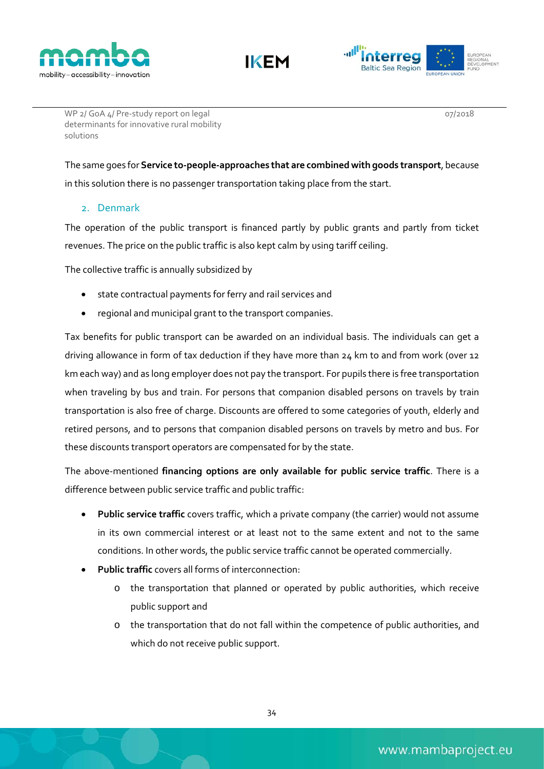





07/2018

The same goes for **Service to-people-approaches that are combined with goods transport**, because in this solution there is no passenger transportation taking place from the start.

#### 2. Denmark

The operation of the public transport is financed partly by public grants and partly from ticket revenues. The price on the public traffic is also kept calm by using tariff ceiling.

The collective traffic is annually subsidized by

- state contractual payments for ferry and rail services and
- regional and municipal grant to the transport companies.

Tax benefits for public transport can be awarded on an individual basis. The individuals can get a driving allowance in form of tax deduction if they have more than 24 km to and from work (over 12 km each way) and as long employer does not pay the transport. For pupils there is free transportation when traveling by bus and train. For persons that companion disabled persons on travels by train transportation is also free of charge. Discounts are offered to some categories of youth, elderly and retired persons, and to persons that companion disabled persons on travels by metro and bus. For these discounts transport operators are compensated for by the state.

The above-mentioned **financing options are only available for public service traffic**. There is a difference between public service traffic and public traffic:

- **Public service traffic** covers traffic, which a private company (the carrier) would not assume in its own commercial interest or at least not to the same extent and not to the same conditions. In other words, the public service traffic cannot be operated commercially.
- **Public traffic** covers all forms of interconnection:
	- o the transportation that planned or operated by public authorities, which receive public support and
	- o the transportation that do not fall within the competence of public authorities, and which do not receive public support.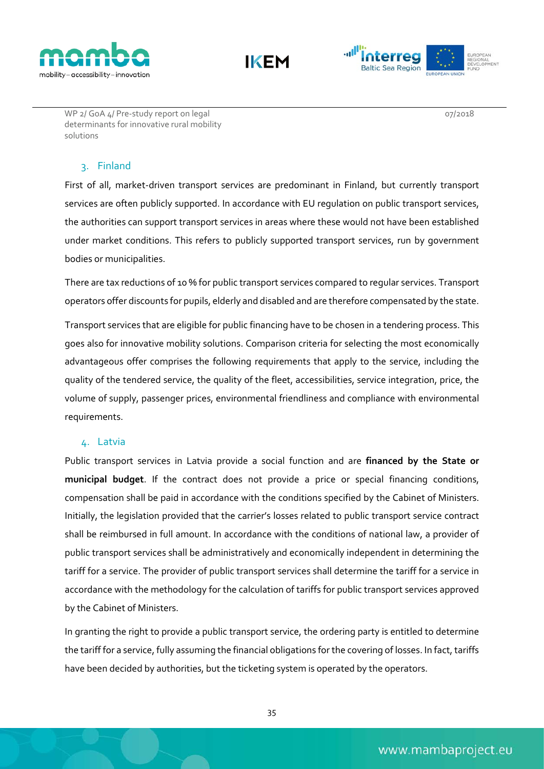

solutions





07/2018

# 3. Finland

WP 2/ GoA 4/ Pre-study report on legal determinants for innovative rural mobility

First of all, market-driven transport services are predominant in Finland, but currently transport services are often publicly supported. In accordance with EU regulation on public transport services, the authorities can support transport services in areas where these would not have been established under market conditions. This refers to publicly supported transport services, run by government bodies or municipalities.

There are tax reductions of 10 % for public transport services compared to regular services. Transport operators offer discounts for pupils, elderly and disabled and are therefore compensated by the state.

Transport services that are eligible for public financing have to be chosen in a tendering process. This goes also for innovative mobility solutions. Comparison criteria for selecting the most economically advantageous offer comprises the following requirements that apply to the service, including the quality of the tendered service, the quality of the fleet, accessibilities, service integration, price, the volume of supply, passenger prices, environmental friendliness and compliance with environmental requirements.

#### 4. Latvia

Public transport services in Latvia provide a social function and are **financed by the State or municipal budget**. If the contract does not provide a price or special financing conditions, compensation shall be paid in accordance with the conditions specified by the Cabinet of Ministers. Initially, the legislation provided that the carrier's losses related to public transport service contract shall be reimbursed in full amount. In accordance with the conditions of national law, a provider of public transport services shall be administratively and economically independent in determining the tariff for a service. The provider of public transport services shall determine the tariff for a service in accordance with the methodology for the calculation of tariffs for public transport services approved by the Cabinet of Ministers.

In granting the right to provide a public transport service, the ordering party is entitled to determine the tariff for a service, fully assuming the financial obligations for the covering of losses. In fact, tariffs have been decided by authorities, but the ticketing system is operated by the operators.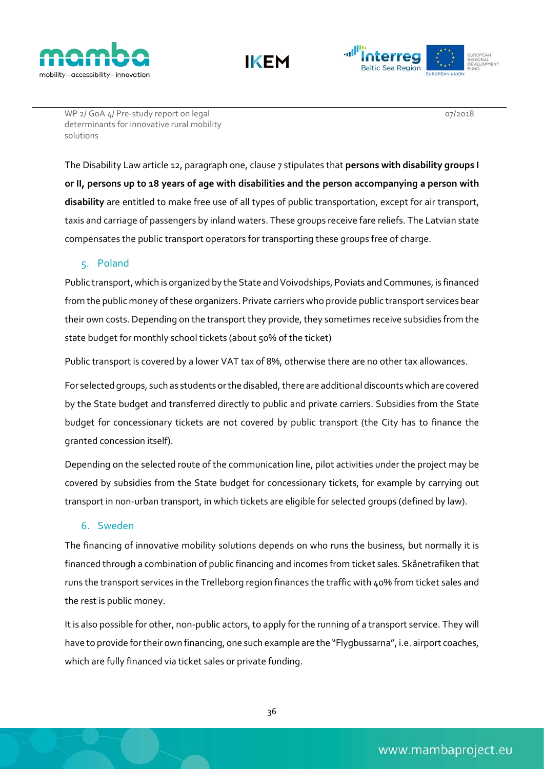





07/2018

The Disability Law article 12, paragraph one, clause 7 stipulates that **persons with disability groups I or II, persons up to 18 years of age with disabilities and the person accompanying a person with disability** are entitled to make free use of all types of public transportation, except for air transport, taxis and carriage of passengers by inland waters. These groups receive fare reliefs. The Latvian state compensates the public transport operators for transporting these groups free of charge.

# 5. Poland

Public transport, which is organized by the State and Voivodships, Poviats and Communes, is financed from the public money of these organizers. Private carriers who provide public transport services bear their own costs. Depending on the transport they provide, they sometimes receive subsidies from the state budget for monthly school tickets (about 50% of the ticket)

Public transport is covered by a lower VAT tax of 8%, otherwise there are no other tax allowances.

For selected groups, such as students or the disabled, there are additional discounts which are covered by the State budget and transferred directly to public and private carriers. Subsidies from the State budget for concessionary tickets are not covered by public transport (the City has to finance the granted concession itself).

Depending on the selected route of the communication line, pilot activities under the project may be covered by subsidies from the State budget for concessionary tickets, for example by carrying out transport in non-urban transport, in which tickets are eligible for selected groups (defined by law).

## 6. Sweden

The financing of innovative mobility solutions depends on who runs the business, but normally it is financed through a combination of public financing and incomes from ticket sales. Skånetrafiken that runs the transport services in the Trelleborg region finances the traffic with 40% from ticket sales and the rest is public money.

It is also possible for other, non-public actors, to apply for the running of a transport service. They will have to provide for their own financing, one such example are the "Flygbussarna", i.e. airport coaches, which are fully financed via ticket sales or private funding.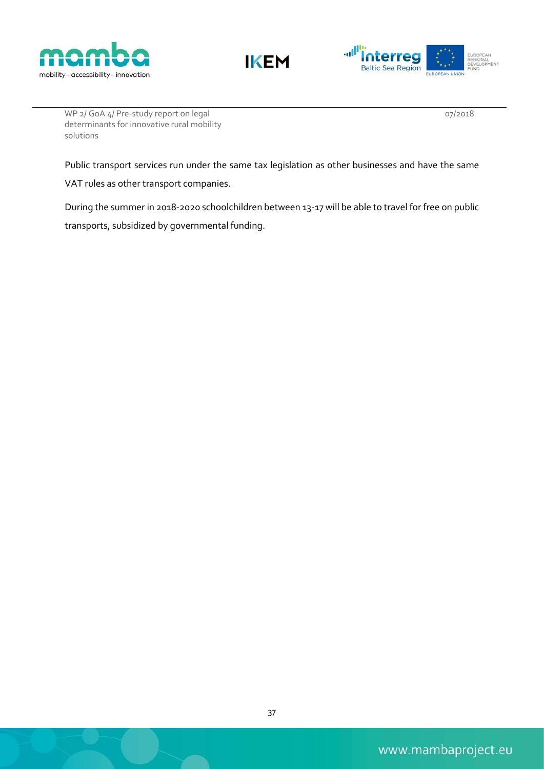





07/2018

Public transport services run under the same tax legislation as other businesses and have the same

VAT rules as other transport companies.

During the summer in 2018-2020 schoolchildren between 13-17 will be able to travel for free on public transports, subsidized by governmental funding.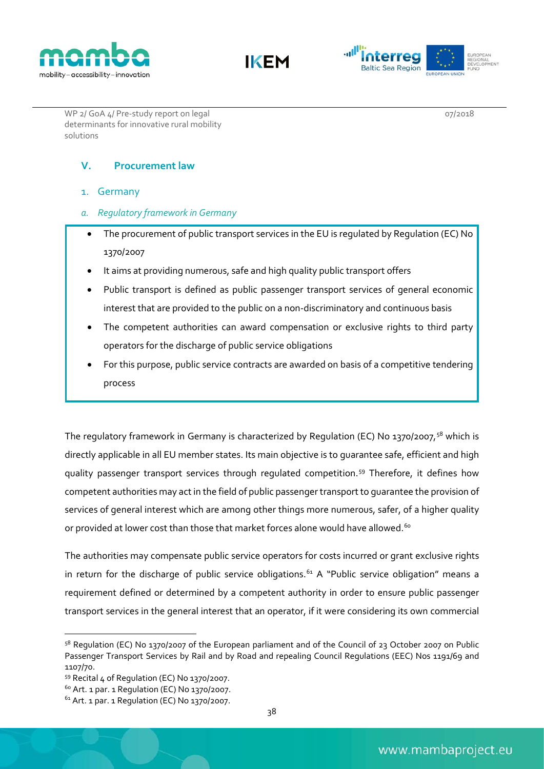





07/2018

# **V. Procurement law**

- 1. Germany
- *a. Regulatory framework in Germany*
- The procurement of public transport services in the EU is regulated by Regulation (EC) No 1370/2007
- It aims at providing numerous, safe and high quality public transport offers
- Public transport is defined as public passenger transport services of general economic interest that are provided to the public on a non-discriminatory and continuous basis
- The competent authorities can award compensation or exclusive rights to third party operators for the discharge of public service obligations
- For this purpose, public service contracts are awarded on basis of a competitive tendering process

The regulatory framework in Germany is characterized by Regulation (EC) No 1370/2007,<sup>[58](#page-42-0)</sup> which is directly applicable in all EU member states. Its main objective is to guarantee safe, efficient and high quality passenger transport services through regulated competition.<sup>[59](#page-42-1)</sup> Therefore, it defines how competent authorities may act in the field of public passenger transport to guarantee the provision of services of general interest which are among other things more numerous, safer, of a higher quality or provided at lower cost than those that market forces alone would have allowed.<sup>[60](#page-42-2)</sup>

The authorities may compensate public service operators for costs incurred or grant exclusive rights in return for the discharge of public service obligations.<sup>[61](#page-42-3)</sup> A "Public service obligation" means a requirement defined or determined by a competent authority in order to ensure public passenger transport services in the general interest that an operator, if it were considering its own commercial

<span id="page-42-0"></span><sup>58</sup> Requlation (EC) No 1370/2007 of the European parliament and of the Council of 23 October 2007 on Public Passenger Transport Services by Rail and by Road and repealing Council Regulations (EEC) Nos 1191/69 and 1107/70.

<span id="page-42-1"></span><sup>59</sup> Recital 4 of Regulation (EC) No 1370/2007.

<span id="page-42-2"></span><sup>60</sup> Art. 1 par. 1 Regulation (EC) No 1370/2007.

<span id="page-42-3"></span> $61$  Art. 1 par. 1 Regulation (EC) No 1370/2007.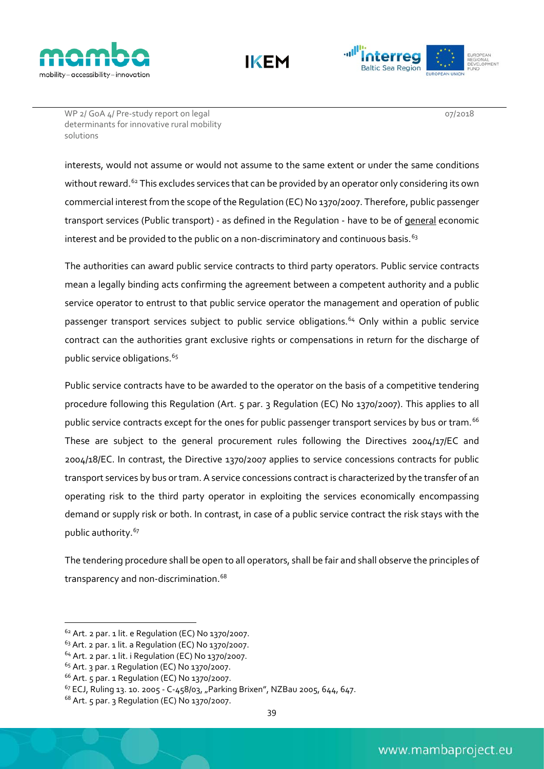





07/2018

interests, would not assume or would not assume to the same extent or under the same conditions without reward.<sup>[62](#page-43-0)</sup> This excludes services that can be provided by an operator only considering its own commercial interest from the scope of the Regulation (EC) No 1370/2007. Therefore, public passenger transport services (Public transport) - as defined in the Regulation - have to be of general economic interest and be provided to the public on a non-discriminatory and continuous basis. $63$ 

The authorities can award public service contracts to third party operators. Public service contracts mean a legally binding acts confirming the agreement between a competent authority and a public service operator to entrust to that public service operator the management and operation of public passenger transport services subject to public service obligations.<sup>[64](#page-43-2)</sup> Only within a public service contract can the authorities grant exclusive rights or compensations in return for the discharge of public service obligations.<sup>[65](#page-43-3)</sup>

Public service contracts have to be awarded to the operator on the basis of a competitive tendering procedure following this Regulation (Art. 5 par. 3 Regulation (EC) No 1370/2007). This applies to all public service contracts except for the ones for public passenger transport services by bus or tram.<sup>[66](#page-43-4)</sup> These are subject to the general procurement rules following the Directives 2004/17/EC and 2004/18/EC. In contrast, the Directive 1370/2007 applies to service concessions contracts for public transport services by bus or tram. A service concessions contract is characterized by the transfer of an operating risk to the third party operator in exploiting the services economically encompassing demand or supply risk or both. In contrast, in case of a public service contract the risk stays with the public authority.<sup>[67](#page-43-5)</sup>

The tendering procedure shall be open to all operators, shall be fair and shall observe the principles of transparency and non-discrimination.<sup>[68](#page-43-6)</sup>

<span id="page-43-0"></span> $62$  Art. 2 par. 1 lit. e Regulation (EC) No 1370/2007.

<span id="page-43-1"></span> $63$  Art. 2 par. 1 lit. a Regulation (EC) No 1370/2007.

<span id="page-43-2"></span><sup>64</sup> Art. 2 par. 1 lit. i Regulation (EC) No 1370/2007.

<span id="page-43-3"></span> $65$  Art. 3 par. 1 Regulation (EC) No 1370/2007.

<span id="page-43-4"></span><sup>66</sup> Art. 5 par. 1 Regulation (EC) No 1370/2007.

<span id="page-43-5"></span><sup>67</sup> ECJ, Ruling 13. 10. 2005 - C-458/03, "Parking Brixen", NZBau 2005, 644, 647.

<span id="page-43-6"></span><sup>68</sup> Art. 5 par. 3 Regulation (EC) No 1370/2007.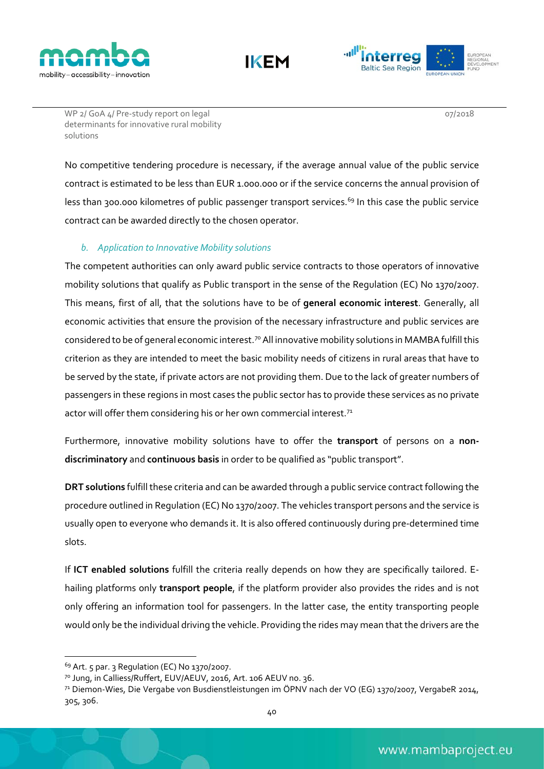





07/2018

No competitive tendering procedure is necessary, if the average annual value of the public service contract is estimated to be less than EUR 1.000.000 or if the service concerns the annual provision of less than 300.000 kilometres of public passenger transport services.<sup>[69](#page-44-0)</sup> In this case the public service contract can be awarded directly to the chosen operator.

### *b. Application to Innovative Mobility solutions*

The competent authorities can only award public service contracts to those operators of innovative mobility solutions that qualify as Public transport in the sense of the Regulation (EC) No 1370/2007. This means, first of all, that the solutions have to be of **general economic interest**. Generally, all economic activities that ensure the provision of the necessary infrastructure and public services are considered to be of general economic interest.<sup>[70](#page-44-1)</sup> All innovative mobility solutions in MAMBA fulfill this criterion as they are intended to meet the basic mobility needs of citizens in rural areas that have to be served by the state, if private actors are not providing them. Due to the lack of greater numbers of passengers in these regions in most cases the public sector has to provide these services as no private actor will offer them considering his or her own commercial interest.<sup>[71](#page-44-2)</sup>

Furthermore, innovative mobility solutions have to offer the **transport** of persons on a **nondiscriminatory** and **continuous basis** in order to be qualified as "public transport".

**DRT solutions** fulfill these criteria and can be awarded through a public service contract following the procedure outlined in Regulation (EC) No 1370/2007. The vehicles transport persons and the service is usually open to everyone who demands it. It is also offered continuously during pre-determined time slots.

If **ICT enabled solutions** fulfill the criteria really depends on how they are specifically tailored. Ehailing platforms only **transport people**, if the platform provider also provides the rides and is not only offering an information tool for passengers. In the latter case, the entity transporting people would only be the individual driving the vehicle. Providing the rides may mean that the drivers are the

<span id="page-44-0"></span> <sup>69</sup> Art. 5 par. 3 Regulation (EC) No 1370/2007.

<span id="page-44-1"></span><sup>70</sup> Jung, in Calliess/Ruffert, EUV/AEUV, 2016, Art. 106 AEUV no. 36.

<span id="page-44-2"></span><sup>71</sup> Diemon-Wies, Die Vergabe von Busdienstleistungen im ÖPNV nach der VO (EG) 1370/2007, VergabeR 2014, 305, 306.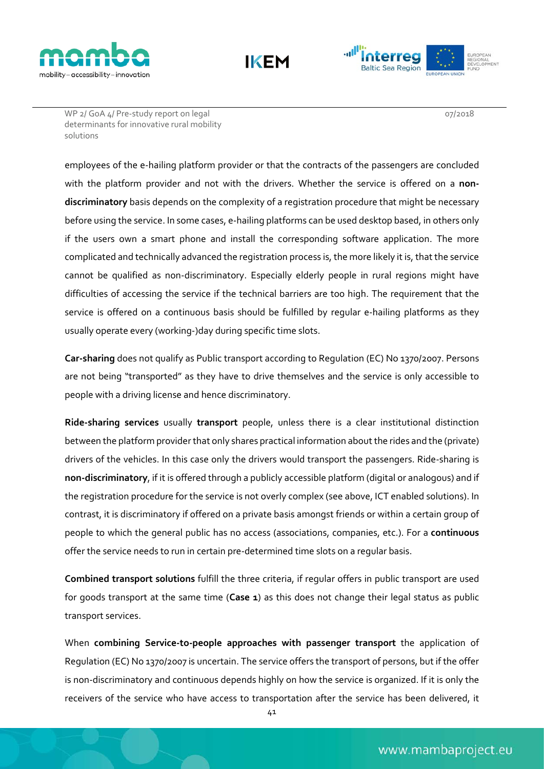





WP 2/ GoA 4/ Pre-study report on legal determinants for innovative rural mobility solutions

employees of the e-hailing platform provider or that the contracts of the passengers are concluded with the platform provider and not with the drivers. Whether the service is offered on a **nondiscriminatory** basis depends on the complexity of a registration procedure that might be necessary before using the service. In some cases, e-hailing platforms can be used desktop based, in others only if the users own a smart phone and install the corresponding software application. The more complicated and technically advanced the registration process is, the more likely it is, that the service cannot be qualified as non-discriminatory. Especially elderly people in rural regions might have difficulties of accessing the service if the technical barriers are too high. The requirement that the service is offered on a continuous basis should be fulfilled by regular e-hailing platforms as they usually operate every (working-)day during specific time slots.

**Car-sharing** does not qualify as Public transport according to Regulation (EC) No 1370/2007. Persons are not being "transported" as they have to drive themselves and the service is only accessible to people with a driving license and hence discriminatory.

**Ride-sharing services** usually **transport** people, unless there is a clear institutional distinction between the platform provider that only shares practical information about the rides and the (private) drivers of the vehicles. In this case only the drivers would transport the passengers. Ride-sharing is **non-discriminatory**, if it is offered through a publicly accessible platform (digital or analogous) and if the registration procedure for the service is not overly complex (see above, ICT enabled solutions). In contrast, it is discriminatory if offered on a private basis amongst friends or within a certain group of people to which the general public has no access (associations, companies, etc.). For a **continuous** offer the service needs to run in certain pre-determined time slots on a regular basis.

**Combined transport solutions** fulfill the three criteria, if regular offers in public transport are used for goods transport at the same time (**Case 1**) as this does not change their legal status as public transport services.

When **combining Service-to-people approaches with passenger transport** the application of Regulation (EC) No 1370/2007 is uncertain. The service offers the transport of persons, but if the offer is non-discriminatory and continuous depends highly on how the service is organized. If it is only the receivers of the service who have access to transportation after the service has been delivered, it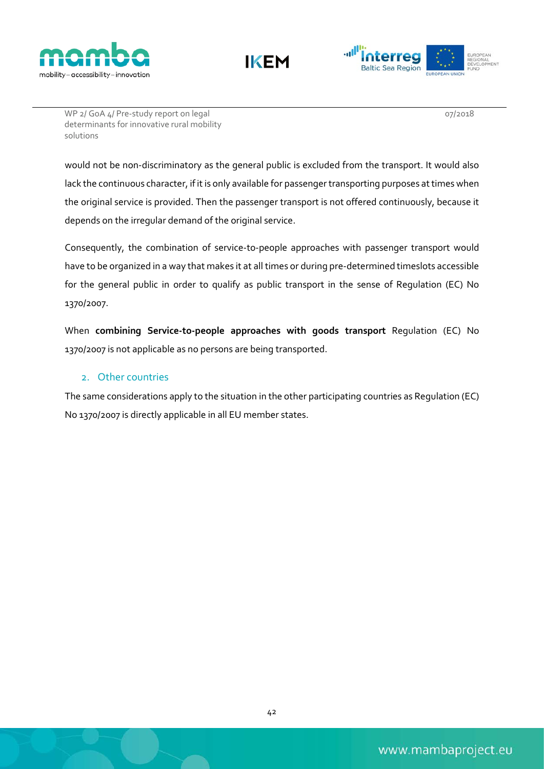





07/2018

would not be non-discriminatory as the general public is excluded from the transport. It would also lack the continuous character, if it is only available for passenger transporting purposes at times when the original service is provided. Then the passenger transport is not offered continuously, because it depends on the irregular demand of the original service.

Consequently, the combination of service-to-people approaches with passenger transport would have to be organized in a way that makes it at all times or during pre-determined timeslots accessible for the general public in order to qualify as public transport in the sense of Regulation (EC) No 1370/2007.

When **combining Service-to-people approaches with goods transport** Regulation (EC) No 1370/2007 is not applicable as no persons are being transported.

# 2. Other countries

The same considerations apply to the situation in the other participating countries as Regulation (EC) No 1370/2007 is directly applicable in all EU member states.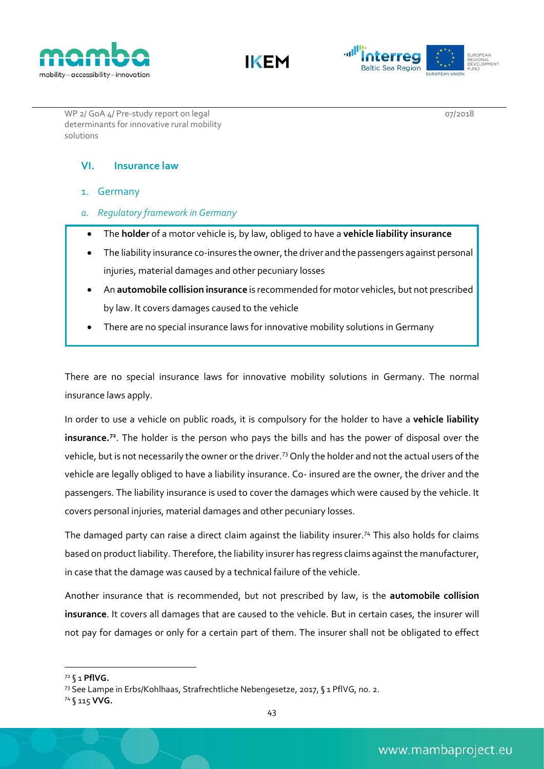





07/2018

## **VI. Insurance law**

- 1. Germany
- *a. Regulatory framework in Germany*
	- The **holder** of a motor vehicle is, by law, obliged to have a **vehicle liability insurance**
	- The liability insurance co-insures the owner, the driver and the passengers against personal injuries, material damages and other pecuniary losses
	- An **automobile collision insurance** is recommended for motor vehicles, but not prescribed by law. It covers damages caused to the vehicle
	- There are no special insurance laws for innovative mobility solutions in Germany

There are no special insurance laws for innovative mobility solutions in Germany. The normal insurance laws apply.

In order to use a vehicle on public roads, it is compulsory for the holder to have a **vehicle liability**  insurance.<sup>[72](#page-47-0)</sup>. The holder is the person who pays the bills and has the power of disposal over the vehicle, but is not necessarily the owner or the driver.[73](#page-47-1) Only the holder and not the actual users of the vehicle are legally obliged to have a liability insurance. Co- insured are the owner, the driver and the passengers. The liability insurance is used to cover the damages which were caused by the vehicle. It covers personal injuries, material damages and other pecuniary losses.

The damaged party can raise a direct claim against the liability insurer.<sup>[74](#page-47-2)</sup> This also holds for claims based on product liability. Therefore, the liability insurer has regress claims against the manufacturer, in case that the damage was caused by a technical failure of the vehicle.

Another insurance that is recommended, but not prescribed by law, is the **automobile collision insurance**. It covers all damages that are caused to the vehicle. But in certain cases, the insurer will not pay for damages or only for a certain part of them. The insurer shall not be obligated to effect

<span id="page-47-0"></span> <sup>72</sup> § 1 **PflVG.**

<span id="page-47-1"></span><sup>73</sup> See Lampe in Erbs/Kohlhaas, Strafrechtliche Nebengesetze, 2017, § 1 PflVG, no. 2.

<span id="page-47-2"></span><sup>74</sup> § 115 **VVG.**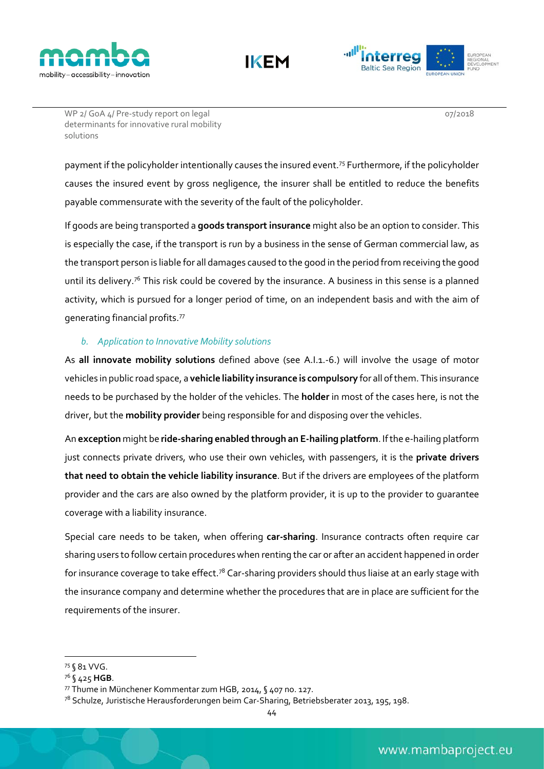





WP 2/ GoA 4/ Pre-study report on legal determinants for innovative rural mobility solutions

payment if the policyholder intentionally causes the insured event.<sup>[75](#page-48-0)</sup> Furthermore, if the policyholder causes the insured event by gross negligence, the insurer shall be entitled to reduce the benefits payable commensurate with the severity of the fault of the policyholder.

If goods are being transported a **goods transport insurance** might also be an option to consider. This is especially the case, if the transport is run by a business in the sense of German commercial law, as the transport person is liable for all damages caused to the good in the period from receiving the good until its delivery.<sup>[76](#page-48-1)</sup> This risk could be covered by the insurance. A business in this sense is a planned activity, which is pursued for a longer period of time, on an independent basis and with the aim of generating financial profits[.77](#page-48-2)

### *b. Application to Innovative Mobility solutions*

As **all innovate mobility solutions** defined above (see A.I.1.-6.) will involve the usage of motor vehicles in public road space, a **vehicle liability insurance is compulsory** for all of them. This insurance needs to be purchased by the holder of the vehicles. The **holder** in most of the cases here, is not the driver, but the **mobility provider** being responsible for and disposing over the vehicles.

An **exception** might be **ride-sharing enabled through an E-hailing platform**. If the e-hailing platform just connects private drivers, who use their own vehicles, with passengers, it is the **private drivers that need to obtain the vehicle liability insurance**. But if the drivers are employees of the platform provider and the cars are also owned by the platform provider, it is up to the provider to guarantee coverage with a liability insurance.

Special care needs to be taken, when offering **car-sharing**. Insurance contracts often require car sharing users to follow certain procedures when renting the car or after an accident happened in order for insurance coverage to take effect.<sup>[78](#page-48-3)</sup> Car-sharing providers should thus liaise at an early stage with the insurance company and determine whether the procedures that are in place are sufficient for the requirements of the insurer.

<span id="page-48-0"></span> <sup>75</sup> § 81 VVG.

<span id="page-48-1"></span><sup>76</sup> § 425 **HGB**.

<span id="page-48-2"></span><sup>77</sup> Thume in Münchener Kommentar zum HGB, 2014, § 407 no. 127.

<span id="page-48-3"></span> $7^8$  Schulze, Juristische Herausforderungen beim Car-Sharing, Betriebsberater 2013, 195, 198.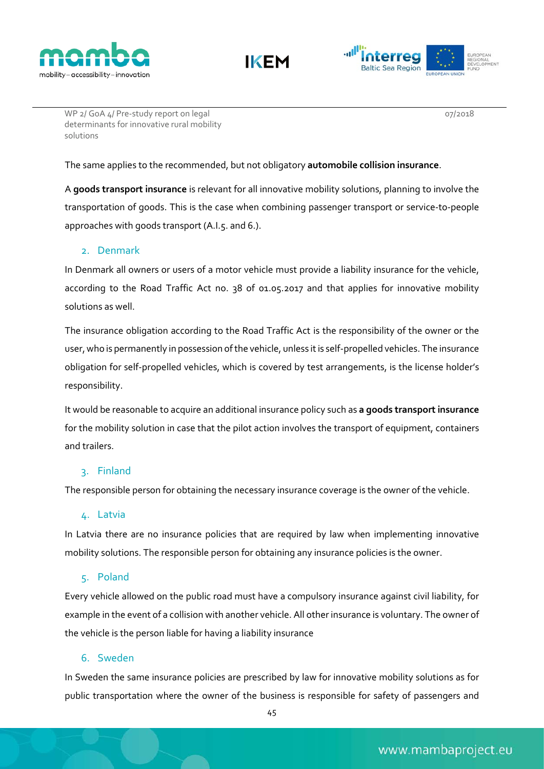





07/2018

The same applies to the recommended, but not obligatory **automobile collision insurance**.

A **goods transport insurance** is relevant for all innovative mobility solutions, planning to involve the transportation of goods. This is the case when combining passenger transport or service-to-people approaches with goods transport (A.I.5. and 6.).

#### 2. Denmark

In Denmark all owners or users of a motor vehicle must provide a liability insurance for the vehicle, according to the Road Traffic Act no. 38 of 01.05.2017 and that applies for innovative mobility solutions as well.

The insurance obligation according to the Road Traffic Act is the responsibility of the owner or the user, who is permanently in possession of the vehicle, unless it is self-propelled vehicles. The insurance obligation for self-propelled vehicles, which is covered by test arrangements, is the license holder's responsibility.

It would be reasonable to acquire an additional insurance policy such as **a goods transport insurance** for the mobility solution in case that the pilot action involves the transport of equipment, containers and trailers.

#### 3. Finland

The responsible person for obtaining the necessary insurance coverage is the owner of the vehicle.

#### 4. Latvia

In Latvia there are no insurance policies that are required by law when implementing innovative mobility solutions. The responsible person for obtaining any insurance policies is the owner.

### 5. Poland

Every vehicle allowed on the public road must have a compulsory insurance against civil liability, for example in the event of a collision with another vehicle. All other insurance is voluntary. The owner of the vehicle is the person liable for having a liability insurance

#### 6. Sweden

In Sweden the same insurance policies are prescribed by law for innovative mobility solutions as for public transportation where the owner of the business is responsible for safety of passengers and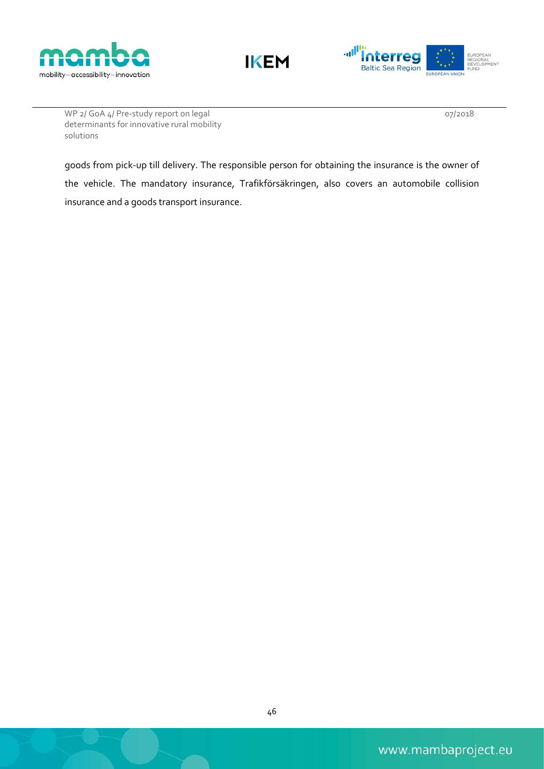





07/2018

goods from pick-up till delivery. The responsible person for obtaining the insurance is the owner of the vehicle. The mandatory insurance, Trafikförsäkringen, also covers an automobile collision insurance and a goods transport insurance.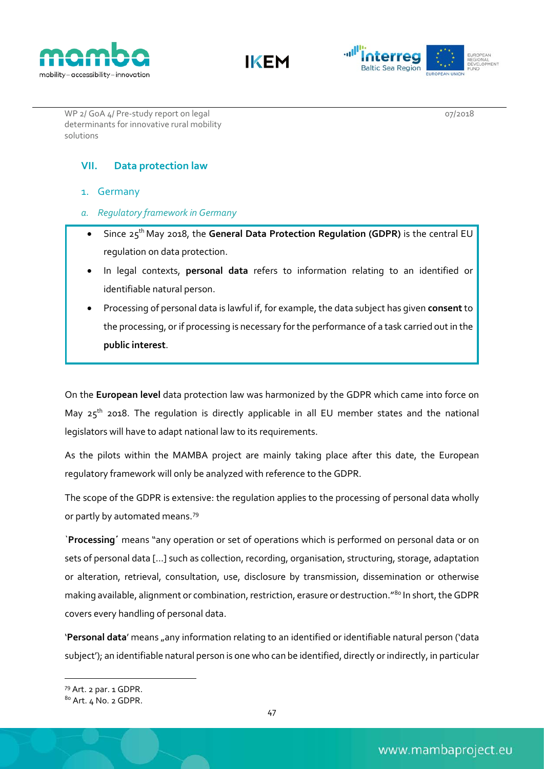





07/2018

# **VII. Data protection law**

- 1. Germany
- *a. Regulatory framework in Germany*
	- Since 25th May 2018, the **General Data Protection Regulation (GDPR)** is the central EU regulation on data protection.
	- In legal contexts, **personal data** refers to information relating to an identified or identifiable natural person.
	- Processing of personal data is lawful if, for example, the data subject has given **consent**to the processing, or if processing is necessary for the performance of a task carried out in the **public interest**.

On the **European level** data protection law was harmonized by the GDPR which came into force on May 25<sup>th</sup> 2018. The regulation is directly applicable in all EU member states and the national legislators will have to adapt national law to its requirements.

As the pilots within the MAMBA project are mainly taking place after this date, the European regulatory framework will only be analyzed with reference to the GDPR.

The scope of the GDPR is extensive: the regulation applies to the processing of personal data wholly or partly by automated means.[79](#page-51-0)

`**Processing´** means "any operation or set of operations which is performed on personal data or on sets of personal data […] such as collection, recording, organisation, structuring, storage, adaptation or alteration, retrieval, consultation, use, disclosure by transmission, dissemination or otherwise making available, alignment or combination, restriction, erasure or destruction."[80](#page-51-1) In short, the GDPR covers every handling of personal data.

'Personal data' means "any information relating to an identified or identifiable natural person ('data subject'); an identifiable natural person is one who can be identified, directly or indirectly, in particular

<span id="page-51-0"></span> <sup>79</sup> Art. 2 par. 1 GDPR.

<span id="page-51-1"></span> $80$  Art.  $4$  No. 2 GDPR.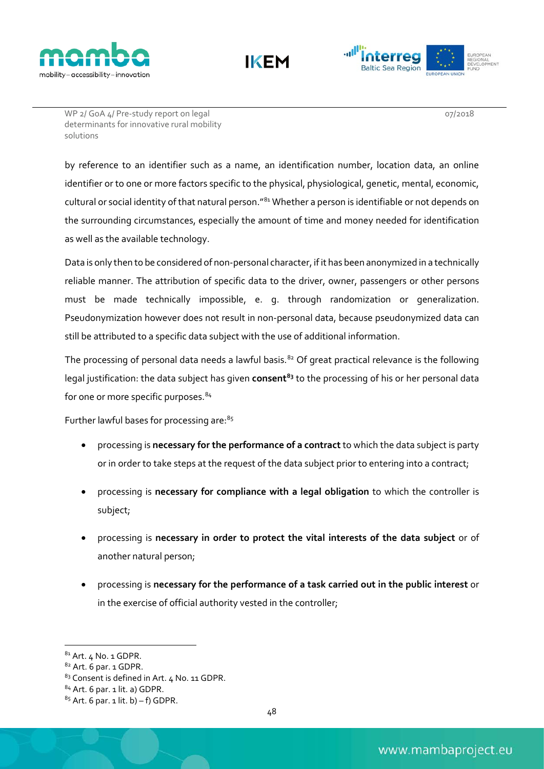





WP 2/ GoA 4/ Pre-study report on legal determinants for innovative rural mobility solutions

by reference to an identifier such as a name, an identification number, location data, an online identifier or to one or more factors specific to the physical, physiological, genetic, mental, economic, cultural or social identity of that natural person."<sup>[81](#page-52-0)</sup> Whether a person is identifiable or not depends on the surrounding circumstances, especially the amount of time and money needed for identification as well as the available technology.

Data is only then to be considered of non-personal character, if it has been anonymized in a technically reliable manner. The attribution of specific data to the driver, owner, passengers or other persons must be made technically impossible, e. g. through randomization or generalization. Pseudonymization however does not result in non-personal data, because pseudonymized data can still be attributed to a specific data subject with the use of additional information.

The processing of personal data needs a lawful basis.<sup>[82](#page-52-1)</sup> Of great practical relevance is the following legal justification: the data subject has given **consent[83](#page-52-2)** to the processing of his or her personal data for one or more specific purposes.<sup>[84](#page-52-3)</sup>

Further lawful bases for processing are: [85](#page-52-4)

- processing is **necessary for the performance of a contract** to which the data subject is party or in order to take steps at the request of the data subject prior to entering into a contract;
- processing is **necessary for compliance with a legal obligation** to which the controller is subject;
- processing is **necessary in order to protect the vital interests of the data subject** or of another natural person;
- processing is **necessary for the performance of a task carried out in the public interest** or in the exercise of official authority vested in the controller;

<span id="page-52-0"></span> <sup>81</sup> Art. 4 No. 1 GDPR.

<span id="page-52-1"></span> $82$  Art. 6 par. 1 GDPR.

<span id="page-52-2"></span><sup>83</sup> Consent is defined in Art. 4 No. 11 GDPR.

<sup>84</sup> Art. 6 par. 1 lit. a) GDPR.

<span id="page-52-4"></span><span id="page-52-3"></span> $85$  Art. 6 par. 1 lit. b) – f) GDPR.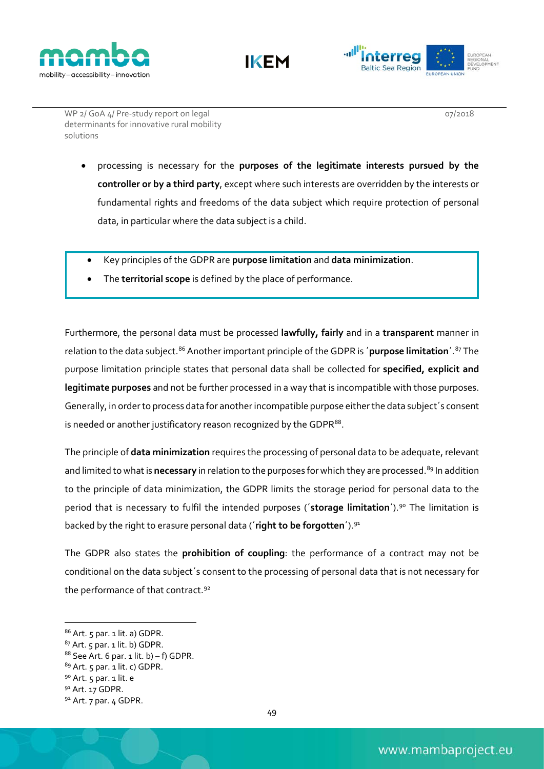





07/2018

- processing is necessary for the **purposes of the legitimate interests pursued by the controller or by a third party**, except where such interests are overridden by the interests or fundamental rights and freedoms of the data subject which require protection of personal data, in particular where the data subject is a child.
	- Key principles of the GDPR are **purpose limitation** and **data minimization**.
	- The **territorial scope** is defined by the place of performance.

Furthermore, the personal data must be processed **lawfully, fairly** and in a **transparent** manner in relation to the data subject.[86](#page-53-0) Another important principle of the GDPR is ´**purpose limitation**´.[87](#page-53-1) The purpose limitation principle states that personal data shall be collected for **specified, explicit and legitimate purposes** and not be further processed in a way that is incompatible with those purposes. Generally, in order to process data for another incompatible purpose either the data subject´s consent is needed or another justificatory reason recognized by the GDPR<sup>88</sup>.

The principle of **data minimization** requires the processing of personal data to be adequate, relevant and limited to what is **necessary** in relation to the purposes for which they are processed.<sup>[89](#page-53-3)</sup> In addition to the principle of data minimization, the GDPR limits the storage period for personal data to the period that is necessary to fulfil the intended purposes (´**storage limitation**´).[90](#page-53-4) The limitation is backed by the right to erasure personal data (´**right to be forgotten**´).[91](#page-53-5)

The GDPR also states the **prohibition of coupling**: the performance of a contract may not be conditional on the data subject´s consent to the processing of personal data that is not necessary for the performance of that contract.<sup>[92](#page-53-6)</sup>

<span id="page-53-0"></span> $86$  Art.  $5$  par. 1 lit. a) GDPR.

<span id="page-53-1"></span> $87$  Art. 5 par. 1 lit. b) GDPR.

<span id="page-53-2"></span> $88$  See Art. 6 par. 1 lit. b) – f) GDPR.

<span id="page-53-4"></span><span id="page-53-3"></span><sup>&</sup>lt;sup>89</sup> Art. 5 par. 1 lit. c) GDPR.<br><sup>90</sup> Art. 5 par. 1 lit. e

<span id="page-53-5"></span><sup>91</sup> Art. 17 GDPR.

<span id="page-53-6"></span><sup>92</sup> Art. 7 par. 4 GDPR.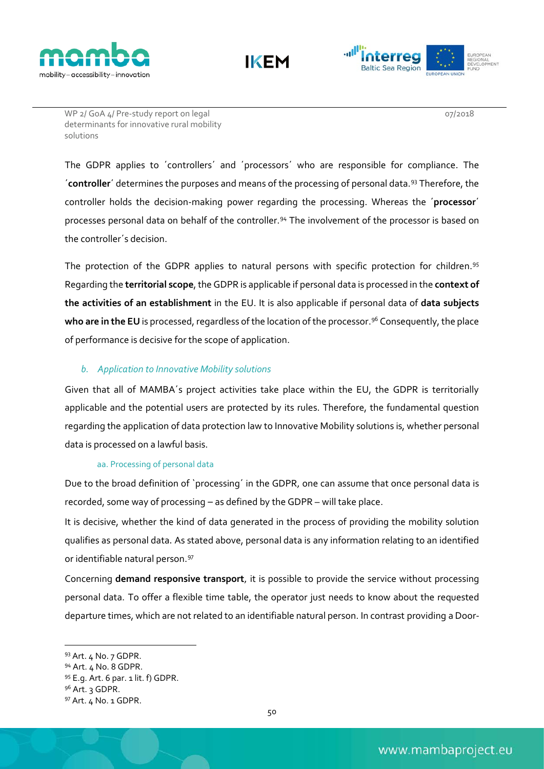





07/2018

The GDPR applies to ´controllers´ and ´processors´ who are responsible for compliance. The ´**controller**´ determines the purposes and means of the processing of personal data. [93](#page-54-0) Therefore, the controller holds the decision-making power regarding the processing. Whereas the ´**processor**´ processes personal data on behalf of the controller.<sup>[94](#page-54-1)</sup> The involvement of the processor is based on the controller´s decision.

The protection of the GDPR applies to natural persons with specific protection for children.<sup>95</sup> Regarding the **territorial scope**, the GDPR is applicable if personal data is processed in the **context of the activities of an establishment** in the EU. It is also applicable if personal data of **data subjects**  who are in the EU is processed, regardless of the location of the processor.<sup>[96](#page-54-3)</sup> Consequently, the place of performance is decisive for the scope of application.

### *b. Application to Innovative Mobility solutions*

Given that all of MAMBA´s project activities take place within the EU, the GDPR is territorially applicable and the potential users are protected by its rules. Therefore, the fundamental question regarding the application of data protection law to Innovative Mobility solutions is, whether personal data is processed on a lawful basis.

#### aa. Processing of personal data

Due to the broad definition of 'processing' in the GDPR, one can assume that once personal data is recorded, some way of processing – as defined by the GDPR – will take place.

It is decisive, whether the kind of data generated in the process of providing the mobility solution qualifies as personal data. As stated above, personal data is any information relating to an identified or identifiable natural person.<sup>[97](#page-54-4)</sup>

Concerning **demand responsive transport**, it is possible to provide the service without processing personal data. To offer a flexible time table, the operator just needs to know about the requested departure times, which are not related to an identifiable natural person. In contrast providing a Door-

<span id="page-54-0"></span> <sup>93</sup> Art. 4 No. 7 GDPR.

<span id="page-54-1"></span><sup>94</sup> Art. 4 No. 8 GDPR.

<span id="page-54-2"></span><sup>95</sup> E.g. Art. 6 par. 1 lit. f) GDPR.

<span id="page-54-3"></span> $96$  Art. 3 GDPR.

<span id="page-54-4"></span><sup>97</sup> Art. 4 No. 1 GDPR.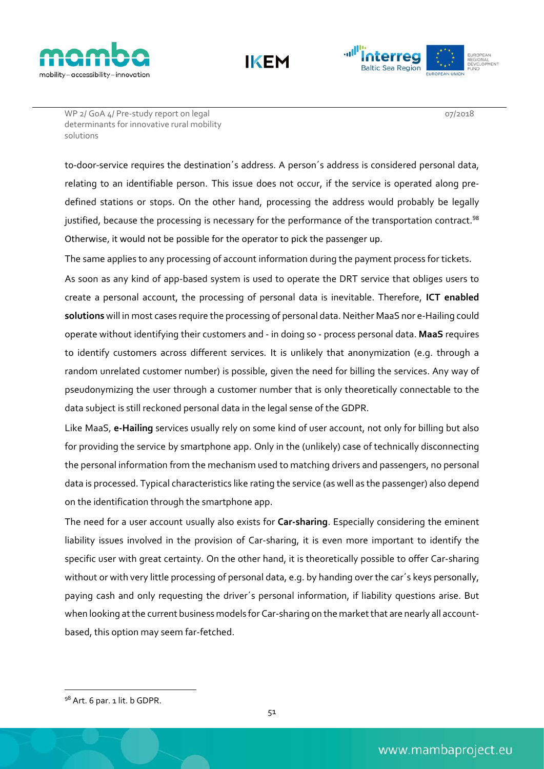





07/2018

to-door-service requires the destination´s address. A person´s address is considered personal data, relating to an identifiable person. This issue does not occur, if the service is operated along predefined stations or stops. On the other hand, processing the address would probably be legally justified, because the processing is necessary for the performance of the transportation contract.<sup>[98](#page-55-0)</sup> Otherwise, it would not be possible for the operator to pick the passenger up.

The same applies to any processing of account information during the payment process for tickets.

As soon as any kind of app-based system is used to operate the DRT service that obliges users to create a personal account, the processing of personal data is inevitable. Therefore, **ICT enabled solutions** will in most cases require the processing of personal data. Neither MaaS nor e-Hailing could operate without identifying their customers and - in doing so - process personal data. **MaaS** requires to identify customers across different services. It is unlikely that anonymization (e.g. through a random unrelated customer number) is possible, given the need for billing the services. Any way of pseudonymizing the user through a customer number that is only theoretically connectable to the data subject is still reckoned personal data in the legal sense of the GDPR.

Like MaaS, **e-Hailing** services usually rely on some kind of user account, not only for billing but also for providing the service by smartphone app. Only in the (unlikely) case of technically disconnecting the personal information from the mechanism used to matching drivers and passengers, no personal data is processed. Typical characteristics like rating the service (as well as the passenger) also depend on the identification through the smartphone app.

The need for a user account usually also exists for **Car-sharing**. Especially considering the eminent liability issues involved in the provision of Car-sharing, it is even more important to identify the specific user with great certainty. On the other hand, it is theoretically possible to offer Car-sharing without or with very little processing of personal data, e.g. by handing over the car's keys personally, paying cash and only requesting the driver´s personal information, if liability questions arise. But when looking at the current business models for Car-sharing on the market that are nearly all accountbased, this option may seem far-fetched.

<span id="page-55-0"></span><sup>98</sup> Art. 6 par. 1 lit. b GDPR.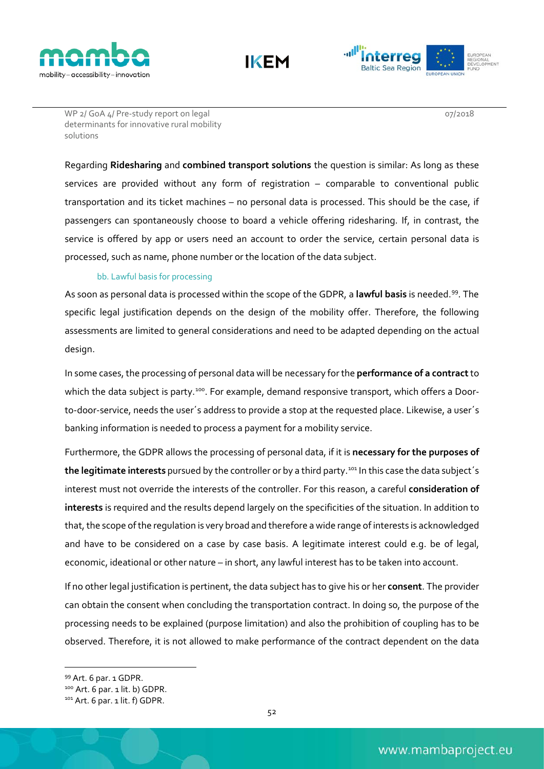





WP 2/ GoA 4/ Pre-study report on legal determinants for innovative rural mobility solutions

Regarding **Ridesharing** and **combined transport solutions** the question is similar: As long as these services are provided without any form of registration – comparable to conventional public transportation and its ticket machines – no personal data is processed. This should be the case, if passengers can spontaneously choose to board a vehicle offering ridesharing. If, in contrast, the service is offered by app or users need an account to order the service, certain personal data is processed, such as name, phone number or the location of the data subject.

#### bb. Lawful basis for processing

As soon as personal data is processed within the scope of the GDPR, a **lawful basis** is needed. [99.](#page-56-0) The specific legal justification depends on the design of the mobility offer. Therefore, the following assessments are limited to general considerations and need to be adapted depending on the actual design.

In some cases, the processing of personal data will be necessary for the **performance of a contract**to which the data subject is party.<sup>[100](#page-56-1)</sup>. For example, demand responsive transport, which offers a Doorto-door-service, needs the user´s address to provide a stop at the requested place. Likewise, a user´s banking information is needed to process a payment for a mobility service.

Furthermore, the GDPR allows the processing of personal data, if it is **necessary for the purposes of**  the legitimate interests pursued by the controller or by a third party.<sup>[101](#page-56-2)</sup> In this case the data subject's interest must not override the interests of the controller. For this reason, a careful **consideration of interests** is required and the results depend largely on the specificities of the situation. In addition to that, the scope of the regulation is very broad and therefore a wide range of interests is acknowledged and have to be considered on a case by case basis. A legitimate interest could e.g. be of legal, economic, ideational or other nature – in short, any lawful interest has to be taken into account.

If no other legal justification is pertinent, the data subject has to give his or her **consent**. The provider can obtain the consent when concluding the transportation contract. In doing so, the purpose of the processing needs to be explained (purpose limitation) and also the prohibition of coupling has to be observed. Therefore, it is not allowed to make performance of the contract dependent on the data

<span id="page-56-0"></span><sup>99</sup> Art. 6 par. 1 GDPR.

<span id="page-56-1"></span> $100$  Art. 6 par. 1 lit. b) GDPR.

<span id="page-56-2"></span> $101$  Art. 6 par. 1 lit. f) GDPR.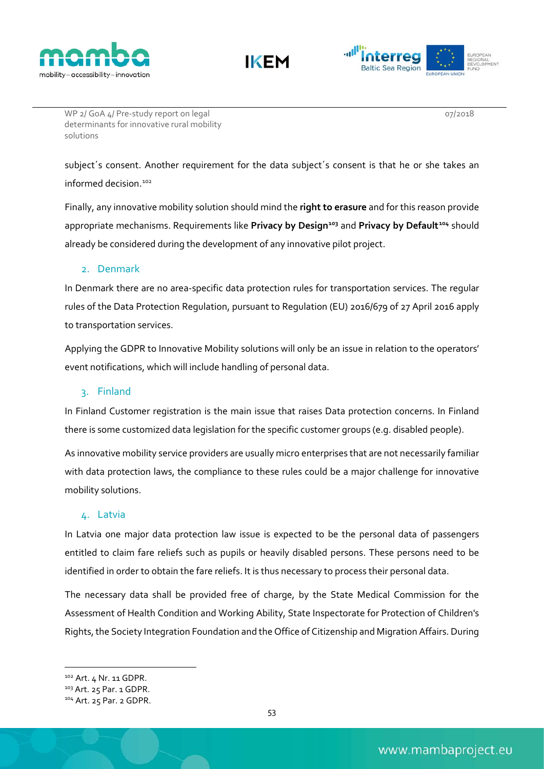





07/2018

subject´s consent. Another requirement for the data subject´s consent is that he or she takes an informed decision.<sup>[102](#page-57-0)</sup>

Finally, any innovative mobility solution should mind the **right to erasure** and for this reason provide appropriate mechanisms. Requirements like **Privacy by Design[103](#page-57-1)** and **Privacy by Default[104](#page-57-2)** should already be considered during the development of any innovative pilot project.

### 2. Denmark

In Denmark there are no area-specific data protection rules for transportation services. The regular rules of the Data Protection Regulation, pursuant to Regulation (EU) 2016/679 of 27 April 2016 apply to transportation services.

Applying the GDPR to Innovative Mobility solutions will only be an issue in relation to the operators' event notifications, which will include handling of personal data.

## 3. Finland

In Finland Customer registration is the main issue that raises Data protection concerns. In Finland there is some customized data legislation for the specific customer groups (e.g. disabled people).

As innovative mobility service providers are usually micro enterprises that are not necessarily familiar with data protection laws, the compliance to these rules could be a major challenge for innovative mobility solutions.

## 4. Latvia

In Latvia one major data protection law issue is expected to be the personal data of passengers entitled to claim fare reliefs such as pupils or heavily disabled persons. These persons need to be identified in order to obtain the fare reliefs. It is thus necessary to process their personal data.

The necessary data shall be provided free of charge, by the State Medical Commission for the Assessment of Health Condition and Working Ability, State Inspectorate for Protection of Children's Rights, the Society Integration Foundation and the Office of Citizenship and Migration Affairs. During

<span id="page-57-0"></span> <sup>102</sup> Art. 4 Nr. 11 GDPR.

<span id="page-57-1"></span><sup>103</sup> Art. 25 Par. 1 GDPR.

<span id="page-57-2"></span><sup>104</sup> Art. 25 Par. 2 GDPR.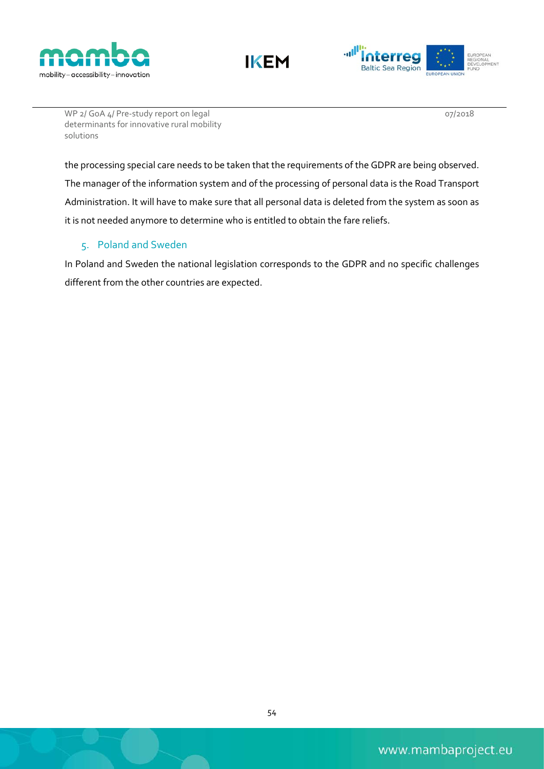





07/2018

the processing special care needs to be taken that the requirements of the GDPR are being observed. The manager of the information system and of the processing of personal data is the Road Transport Administration. It will have to make sure that all personal data is deleted from the system as soon as it is not needed anymore to determine who is entitled to obtain the fare reliefs.

## 5. Poland and Sweden

In Poland and Sweden the national legislation corresponds to the GDPR and no specific challenges different from the other countries are expected.

54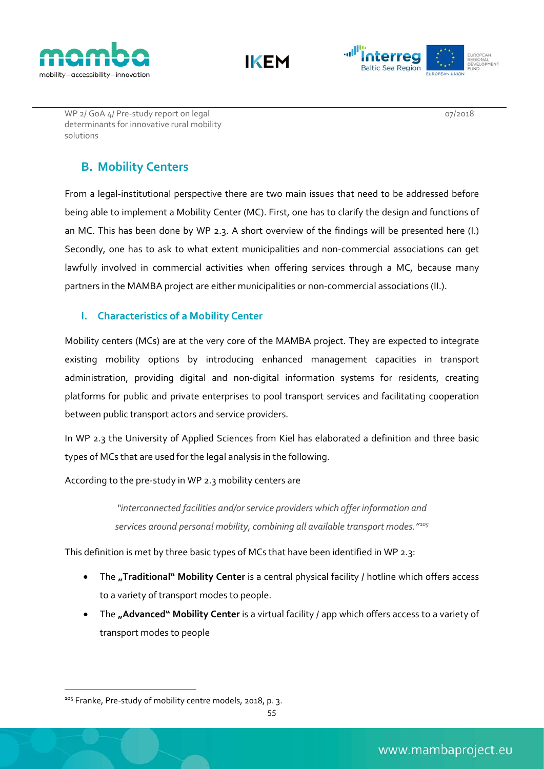





WP 2/ GoA 4/ Pre-study report on legal determinants for innovative rural mobility solutions

# **B. Mobility Centers**

From a legal-institutional perspective there are two main issues that need to be addressed before being able to implement a Mobility Center (MC). First, one has to clarify the design and functions of an MC. This has been done by WP 2.3. A short overview of the findings will be presented here (I.) Secondly, one has to ask to what extent municipalities and non-commercial associations can get lawfully involved in commercial activities when offering services through a MC, because many partners in the MAMBA project are either municipalities or non-commercial associations (II.).

# **I. Characteristics of a Mobility Center**

Mobility centers (MCs) are at the very core of the MAMBA project. They are expected to integrate existing mobility options by introducing enhanced management capacities in transport administration, providing digital and non-digital information systems for residents, creating platforms for public and private enterprises to pool transport services and facilitating cooperation between public transport actors and service providers.

In WP 2.3 the University of Applied Sciences from Kiel has elaborated a definition and three basic types of MCs that are used for the legal analysis in the following.

According to the pre-study in WP 2.3 mobility centers are

*"interconnected facilities and/or service providers which offer information and services around personal mobility, combining all available transport modes.["105](#page-59-0)*

This definition is met by three basic types of MCs that have been identified in WP 2.3:

- The **"Traditional" Mobility Center** is a central physical facility / hotline which offers access to a variety of transport modes to people.
- The "Advanced" Mobility Center is a virtual facility / app which offers access to a variety of transport modes to people

<span id="page-59-0"></span><sup>&</sup>lt;sup>105</sup> Franke, Pre-study of mobility centre models, 2018, p. 3.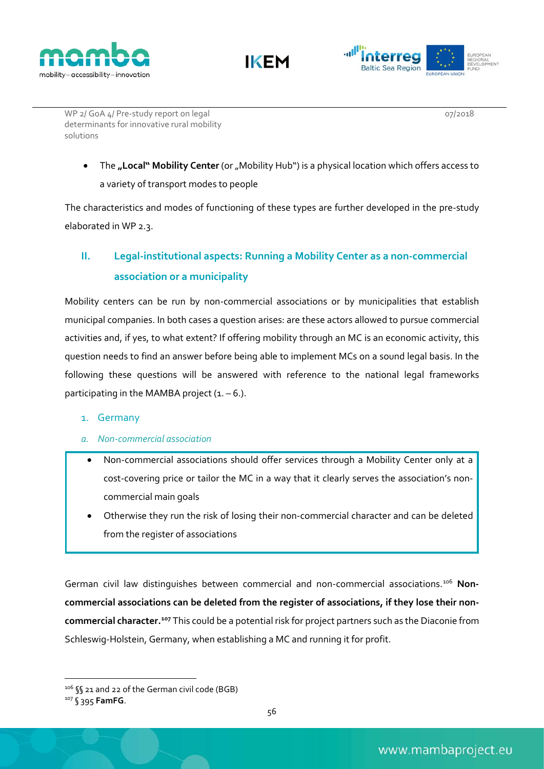





07/2018

• The "Local" Mobility Center (or "Mobility Hub") is a physical location which offers access to a variety of transport modes to people

The characteristics and modes of functioning of these types are further developed in the pre-study elaborated in WP 2.3.

# **II. Legal-institutional aspects: Running a Mobility Center as a non-commercial association or a municipality**

Mobility centers can be run by non-commercial associations or by municipalities that establish municipal companies. In both cases a question arises: are these actors allowed to pursue commercial activities and, if yes, to what extent? If offering mobility through an MC is an economic activity, this question needs to find an answer before being able to implement MCs on a sound legal basis. In the following these questions will be answered with reference to the national legal frameworks participating in the MAMBA project  $(1. -6.$ ).

## 1. Germany

- *a. Non-commercial association*
	- Non-commercial associations should offer services through a Mobility Center only at a cost-covering price or tailor the MC in a way that it clearly serves the association's noncommercial main goals
	- Otherwise they run the risk of losing their non-commercial character and can be deleted from the register of associations

German civil law distinguishes between commercial and non-commercial associations.[106](#page-60-0) **Noncommercial associations can be deleted from the register of associations, if they lose their noncommercial character. [107](#page-60-1)** This could be a potential risk for project partners such as the Diaconie from Schleswig-Holstein, Germany, when establishing a MC and running it for profit.

<span id="page-60-0"></span><sup>106 §§ 21</sup> and 22 of the German civil code (BGB)

<span id="page-60-1"></span><sup>107</sup> § 395 **FamFG**.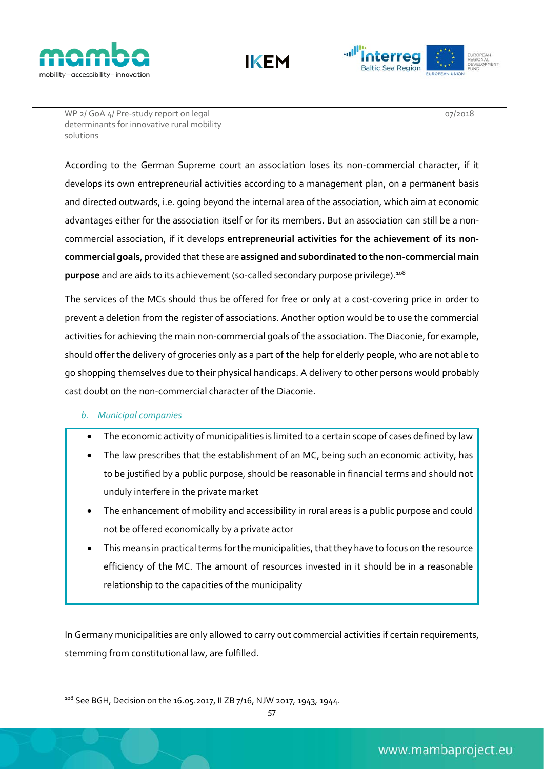





07/2018

According to the German Supreme court an association loses its non-commercial character, if it develops its own entrepreneurial activities according to a management plan, on a permanent basis and directed outwards, i.e. going beyond the internal area of the association, which aim at economic advantages either for the association itself or for its members. But an association can still be a noncommercial association, if it develops **entrepreneurial activities for the achievement of its noncommercial goals**, provided that these are **assigned and subordinated to the non-commercial main purpose** and are aids to its achievement (so-called secondary purpose privilege).<sup>[108](#page-61-0)</sup>

The services of the MCs should thus be offered for free or only at a cost-covering price in order to prevent a deletion from the register of associations. Another option would be to use the commercial activities for achieving the main non-commercial goals of the association. The Diaconie, for example, should offer the delivery of groceries only as a part of the help for elderly people, who are not able to go shopping themselves due to their physical handicaps. A delivery to other persons would probably cast doubt on the non-commercial character of the Diaconie.

#### *b. Municipal companies*

- The economic activity of municipalities is limited to a certain scope of cases defined by law
- The law prescribes that the establishment of an MC, being such an economic activity, has to be justified by a public purpose, should be reasonable in financial terms and should not unduly interfere in the private market
- The enhancement of mobility and accessibility in rural areas is a public purpose and could not be offered economically by a private actor
- This means in practical terms for the municipalities, that they have to focus on the resource efficiency of the MC. The amount of resources invested in it should be in a reasonable relationship to the capacities of the municipality

In Germany municipalities are only allowed to carry out commercial activities if certain requirements, stemming from constitutional law, are fulfilled.

<span id="page-61-0"></span><sup>&</sup>lt;sup>108</sup> See BGH, Decision on the 16.05.2017, II ZB 7/16, NJW 2017, 1943, 1944.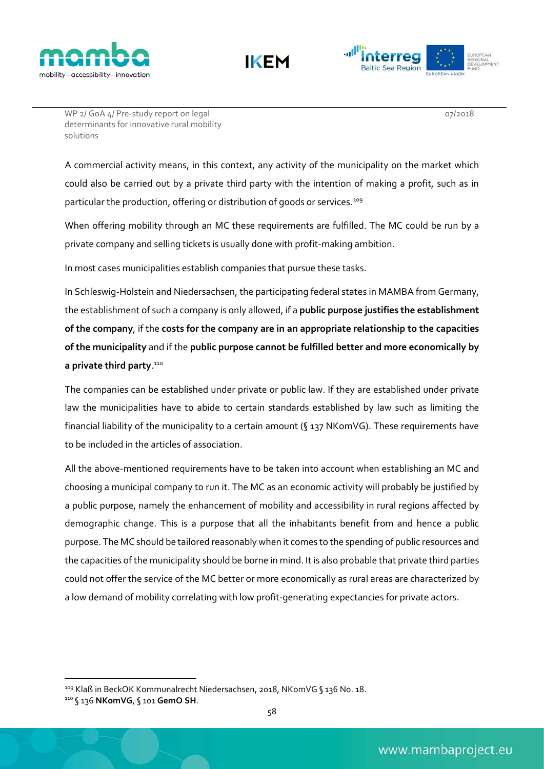





WP 2/ GoA 4/ Pre-study report on legal determinants for innovative rural mobility solutions

A commercial activity means, in this context, any activity of the municipality on the market which could also be carried out by a private third party with the intention of making a profit, such as in particular the production, offering or distribution of goods or services.<sup>[109](#page-62-0)</sup>

When offering mobility through an MC these requirements are fulfilled. The MC could be run by a private company and selling tickets is usually done with profit-making ambition.

In most cases municipalities establish companies that pursue these tasks.

In Schleswig-Holstein and Niedersachsen, the participating federal states in MAMBA from Germany, the establishment of such a company is only allowed, if a **public purpose justifies the establishment of the company**, if the **costs for the company are in an appropriate relationship to the capacities of the municipality** and if the **public purpose cannot be fulfilled better and more economically by a private third party**. [110](#page-62-1)

The companies can be established under private or public law. If they are established under private law the municipalities have to abide to certain standards established by law such as limiting the financial liability of the municipality to a certain amount (§ 137 NKomVG). These requirements have to be included in the articles of association.

All the above-mentioned requirements have to be taken into account when establishing an MC and choosing a municipal company to run it. The MC as an economic activity will probably be justified by a public purpose, namely the enhancement of mobility and accessibility in rural regions affected by demographic change. This is a purpose that all the inhabitants benefit from and hence a public purpose. The MC should be tailored reasonably when it comes to the spending of public resources and the capacities of the municipality should be borne in mind. It is also probable that private third parties could not offer the service of the MC better or more economically as rural areas are characterized by a low demand of mobility correlating with low profit-generating expectancies for private actors.

<span id="page-62-0"></span><sup>109</sup> Klaß in BeckOK Kommunalrecht Niedersachsen, 2018, NKomVG § 136 No. 18.

<span id="page-62-1"></span><sup>110</sup> § 136 **NKomVG**, § 101 **GemO SH**.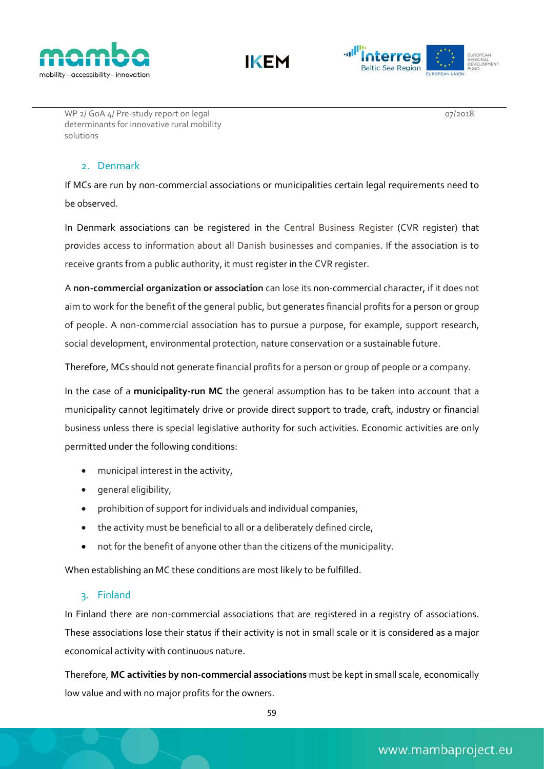





WP 2/ GoA 4/ Pre-study report on legal determinants for innovative rural mobility solutions

# 2. Denmark

If MCs are run by non-commercial associations or municipalities certain legal requirements need to be observed.

In Denmark associations can be registered in the Central Business Register (CVR register) that provides access to information about all Danish businesses and companies. If the association is to receive grants from a public authority, it must register in the CVR register.

A **non-commercial organization or association** can lose its non-commercial character, if it does not aim to work for the benefit of the general public, but generates financial profits for a person or group of people. A non-commercial association has to pursue a purpose, for example, support research, social development, environmental protection, nature conservation or a sustainable future.

Therefore, MCs should not generate financial profits for a person or group of people or a company.

In the case of a **municipality-run MC** the general assumption has to be taken into account that a municipality cannot legitimately drive or provide direct support to trade, craft, industry or financial business unless there is special legislative authority for such activities. Economic activities are only permitted under the following conditions:

- municipal interest in the activity,
- general eligibility,
- prohibition of support for individuals and individual companies,
- the activity must be beneficial to all or a deliberately defined circle,
- not for the benefit of anyone other than the citizens of the municipality.

When establishing an MC these conditions are most likely to be fulfilled.

## 3. Finland

In Finland there are non-commercial associations that are registered in a registry of associations. These associations lose their status if their activity is not in small scale or it is considered as a major economical activity with continuous nature.

Therefore, **MC activities by non-commercial associations** must be kept in small scale, economically low value and with no major profits for the owners.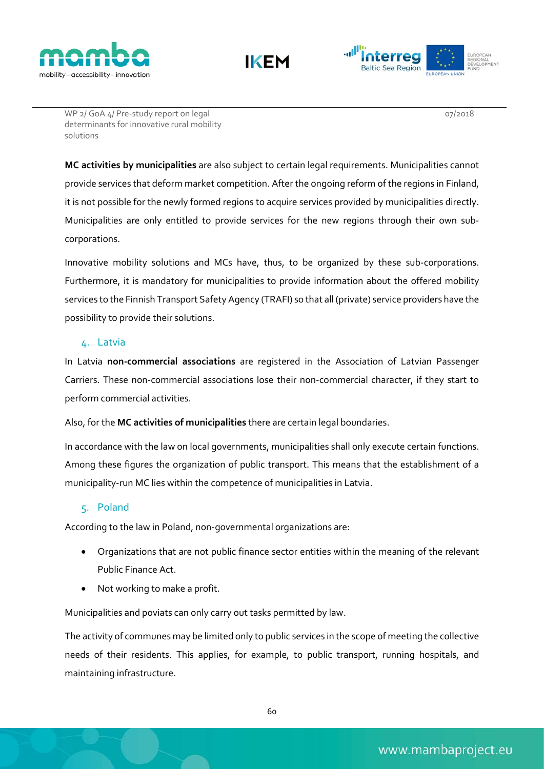





07/2018

**MC activities by municipalities** are also subject to certain legal requirements. Municipalities cannot provide services that deform market competition. After the ongoing reform of the regions in Finland, it is not possible for the newly formed regions to acquire services provided by municipalities directly. Municipalities are only entitled to provide services for the new regions through their own subcorporations.

Innovative mobility solutions and MCs have, thus, to be organized by these sub-corporations. Furthermore, it is mandatory for municipalities to provide information about the offered mobility services to the Finnish Transport Safety Agency (TRAFI) so that all (private) service providers have the possibility to provide their solutions.

### 4. Latvia

In Latvia **non-commercial associations** are registered in the Association of Latvian Passenger Carriers. These non-commercial associations lose their non-commercial character, if they start to perform commercial activities.

Also, for the **MC activities of municipalities** there are certain legal boundaries.

In accordance with the law on local governments, municipalities shall only execute certain functions. Among these figures the organization of public transport. This means that the establishment of a municipality-run MC lies within the competence of municipalities in Latvia.

## 5. Poland

According to the law in Poland, non-governmental organizations are:

- Organizations that are not public finance sector entities within the meaning of the relevant Public Finance Act.
- Not working to make a profit.

Municipalities and poviats can only carry out tasks permitted by law.

The activity of communes may be limited only to public services in the scope of meeting the collective needs of their residents. This applies, for example, to public transport, running hospitals, and maintaining infrastructure.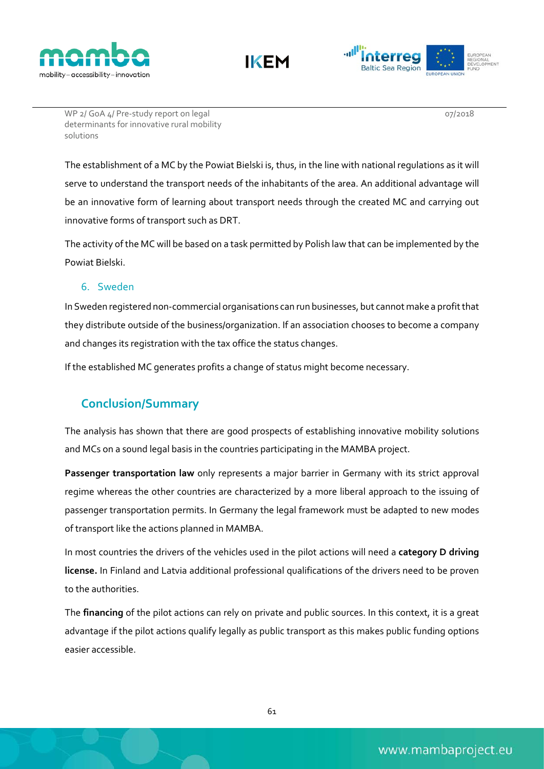





07/2018

The establishment of a MC by the Powiat Bielski is, thus, in the line with national regulations as it will serve to understand the transport needs of the inhabitants of the area. An additional advantage will be an innovative form of learning about transport needs through the created MC and carrying out innovative forms of transport such as DRT.

The activity of the MC will be based on a task permitted by Polish law that can be implemented by the Powiat Bielski.

## 6. Sweden

In Sweden registered non-commercial organisations can run businesses, but cannot make a profit that they distribute outside of the business/organization. If an association chooses to become a company and changes its registration with the tax office the status changes.

If the established MC generates profits a change of status might become necessary.

# **Conclusion/Summary**

The analysis has shown that there are good prospects of establishing innovative mobility solutions and MCs on a sound legal basis in the countries participating in the MAMBA project.

**Passenger transportation law** only represents a major barrier in Germany with its strict approval regime whereas the other countries are characterized by a more liberal approach to the issuing of passenger transportation permits. In Germany the legal framework must be adapted to new modes of transport like the actions planned in MAMBA.

In most countries the drivers of the vehicles used in the pilot actions will need a **category D driving license.** In Finland and Latvia additional professional qualifications of the drivers need to be proven to the authorities.

The **financing** of the pilot actions can rely on private and public sources. In this context, it is a great advantage if the pilot actions qualify legally as public transport as this makes public funding options easier accessible.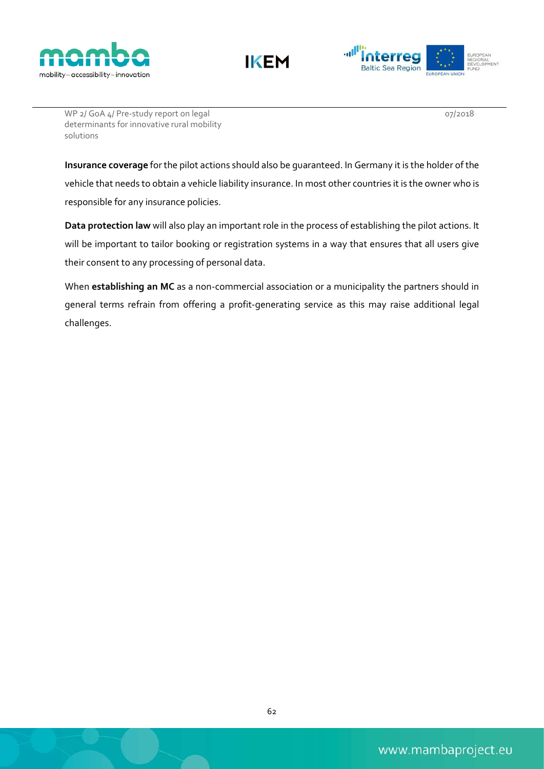





07/2018

**Insurance coverage** for the pilot actions should also be guaranteed. In Germany it is the holder of the vehicle that needs to obtain a vehicle liability insurance. In most other countries it is the owner who is responsible for any insurance policies.

**Data protection law** will also play an important role in the process of establishing the pilot actions. It will be important to tailor booking or registration systems in a way that ensures that all users give their consent to any processing of personal data.

When **establishing an MC** as a non-commercial association or a municipality the partners should in general terms refrain from offering a profit-generating service as this may raise additional legal challenges.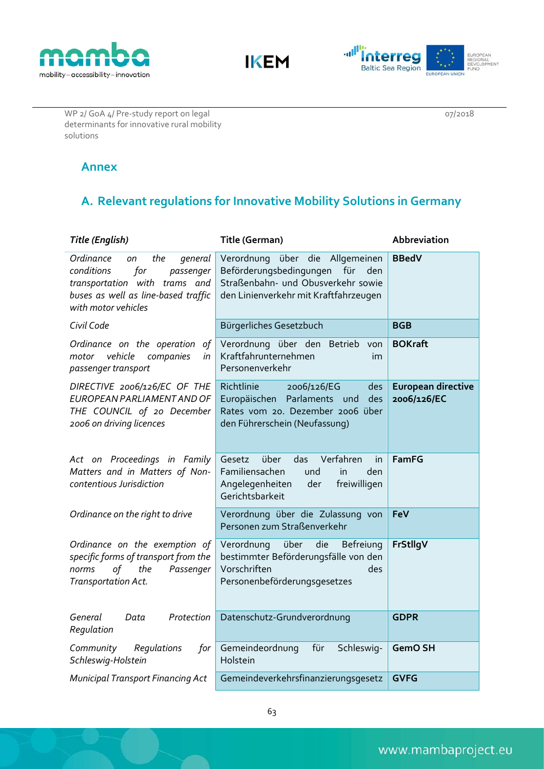





# **Annex**

# **A. Relevant regulations for Innovative Mobility Solutions in Germany**

| Title (English)                                                                                                                                                    | Title (German)                                                                                                                                             | Abbreviation                             |
|--------------------------------------------------------------------------------------------------------------------------------------------------------------------|------------------------------------------------------------------------------------------------------------------------------------------------------------|------------------------------------------|
| Ordinance<br>the<br>general<br>on<br>for<br>conditions<br>passenger<br>transportation with trams and<br>buses as well as line-based traffic<br>with motor vehicles | über die Allgemeinen<br>Verordnung<br>Beförderungsbedingungen<br>für<br>den<br>Straßenbahn- und Obusverkehr sowie<br>den Linienverkehr mit Kraftfahrzeugen | <b>BBedV</b>                             |
| Civil Code                                                                                                                                                         | Bürgerliches Gesetzbuch                                                                                                                                    | <b>BGB</b>                               |
| Ordinance on the operation<br>οf<br>vehicle<br>companies<br>motor<br>in<br>passenger transport                                                                     | Verordnung über den Betrieb<br>von<br>Kraftfahrunternehmen<br>im<br>Personenverkehr                                                                        | <b>BOKraft</b>                           |
| DIRECTIVE 2006/126/EC OF THE<br>EUROPEAN PARLIAMENT AND OF<br>THE COUNCIL of 20 December<br>2006 on driving licences                                               | Richtlinie<br>2006/126/EG<br>des<br>Europäischen Parlaments und<br>des<br>Rates vom 20. Dezember 2006 über<br>den Führerschein (Neufassung)                | <b>European directive</b><br>2006/126/EC |
| Act on Proceedings in Family<br>Matters and in Matters of Non-<br>contentious Jurisdiction                                                                         | Verfahren<br>über<br>das<br>Gesetz<br>in<br>Familiensachen<br>und<br>den<br>in<br>Angelegenheiten<br>der<br>freiwilligen<br>Gerichtsbarkeit                | <b>FamFG</b>                             |
| Ordinance on the right to drive                                                                                                                                    | Verordnung über die Zulassung von<br>Personen zum Straßenverkehr                                                                                           | FeV                                      |
| Ordinance on the exemption of<br>specific forms of transport from the<br>norms<br>of<br>the<br>Passenger<br>Transportation Act.                                    | die<br>Befreiung<br>Verordnung<br>über<br>bestimmter Beförderungsfälle von den<br>Vorschriften<br>des<br>Personenbeförderungsgesetzes                      | FrStllgV                                 |
| General<br>Protection<br>Data<br>Regulation                                                                                                                        | Datenschutz-Grundverordnung                                                                                                                                | <b>GDPR</b>                              |
| Community<br>Regulations<br>for<br>Schleswig-Holstein                                                                                                              | Gemeindeordnung<br>für<br>Schleswig-<br>Holstein                                                                                                           | <b>GemO SH</b>                           |
| <b>Municipal Transport Financing Act</b>                                                                                                                           | Gemeindeverkehrsfinanzierungsgesetz                                                                                                                        | <b>GVFG</b>                              |

07/2018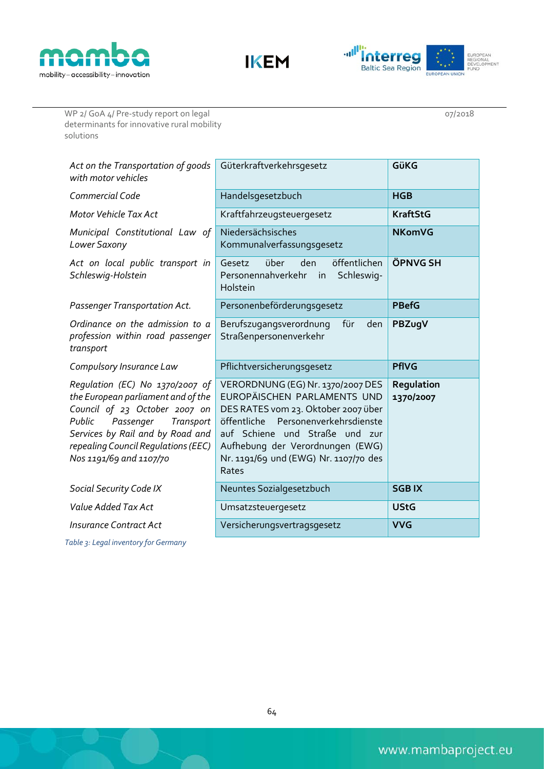





WP 2/ GoA 4/ Pre-study report on legal determinants for innovative rural mobility solutions

*Act on the Transportation of goods with motor vehicles* Güterkraftverkehrsgesetz **GüKG Commercial Code Handelsgesetzbuch HGB** *Motor Vehicle Tax Act* Kraftfahrzeugsteuergesetz **KraftStG** *Municipal Constitutional Law of Lower Saxony* Niedersächsisches Kommunalverfassungsgesetz **NKomVG** *Act on local public transport in Schleswig-Holstein* Gesetz über den öffentlichen Personennahverkehr in Schleswig-Holstein **ÖPNVG SH** Passenger Transportation Act. Personenbeförderungsgesetz **PBefG** *Ordinance on the admission to a profession within road passenger transport* Berufszugangsverordnung für den Straßenpersonenverkehr **PBZugV Compulsory Insurance Law** Pflichtversicherungsgesetz **PflVG** *Regulation (EC) No 1370/2007 of the European parliament and of the Council of 23 October 2007 on Public Passenger Transport Services by Rail and by Road and repealing Council Regulations (EEC) Nos 1191/69 and 1107/70* VERORDNUNG (EG) Nr. 1370/2007 DES EUROPÄISCHEN PARLAMENTS UND DES RATES vom 23. Oktober 2007 über öffentliche Personenverkehrsdienste auf Schiene und Straße und zur Aufhebung der Verordnungen (EWG) Nr. 1191/69 und (EWG) Nr. 1107/70 des Rates **Regulation 1370/2007 Social Security Code IX Neuntes Sozialgesetzbuch SGB IX** *Value Added Tax Act* Umsatzsteuergesetz **UStG** *Insurance Contract Act* Versicherungsvertragsgesetz **VVG** *Table 3: Legal inventory for Germany*

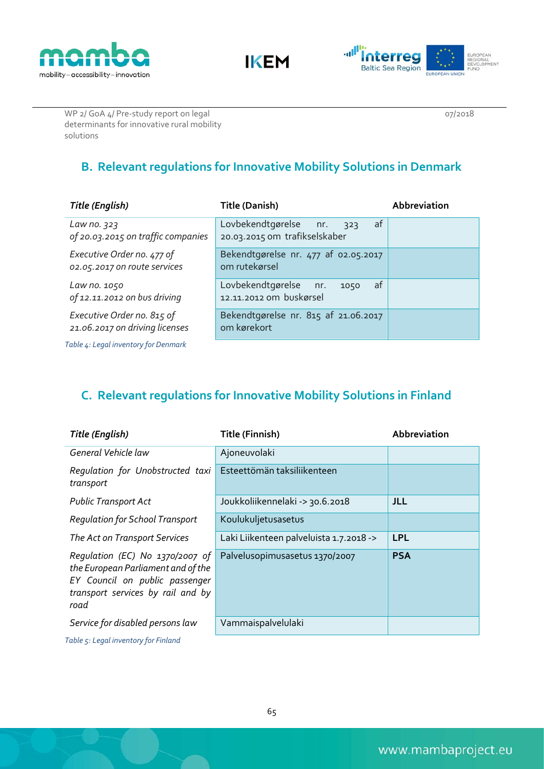





WP 2/ GoA 4/ Pre-study report on legal determinants for innovative rural mobility solutions

# **B. Relevant regulations for Innovative Mobility Solutions in Denmark**

| Title (English)                                              | <b>Title (Danish)</b>                                                 | Abbreviation |
|--------------------------------------------------------------|-----------------------------------------------------------------------|--------------|
| Law no. 323<br>of 20.03.2015 on traffic companies            | Lovbekendtgørelse nr.<br>af<br>323<br>20.03.2015 om trafikselskaber   |              |
| Executive Order no. 477 of<br>02.05.2017 on route services   | Bekendtgørelse nr. 477 af 02.05.2017<br>om rutekørsel                 |              |
| Law no. 1050<br>of 12.11.2012 on bus driving                 | Lovbekendtgørelse<br>af<br>$n r$ .<br>1050<br>12.11.2012 om buskørsel |              |
| Executive Order no. 815 of<br>21.06.2017 on driving licenses | Bekendtgørelse nr. 815 af 21.06.2017<br>om kørekort                   |              |
| Table 4: Legal inventory for Denmark                         |                                                                       |              |

# **C. Relevant regulations for Innovative Mobility Solutions in Finland**

| Title (English)                                                                                                                                      | Title (Finnish)                         | Abbreviation |
|------------------------------------------------------------------------------------------------------------------------------------------------------|-----------------------------------------|--------------|
| General Vehicle law                                                                                                                                  | Ajoneuvolaki                            |              |
| Regulation for Unobstructed taxi<br>transport                                                                                                        | Esteettömän taksiliikenteen             |              |
| <b>Public Transport Act</b>                                                                                                                          | Joukkoliikennelaki -> 30.6.2018         | JLL          |
| <b>Regulation for School Transport</b>                                                                                                               | Koulukuljetusasetus                     |              |
| The Act on Transport Services                                                                                                                        | Laki Liikenteen palveluista 1.7.2018 -> | <b>LPL</b>   |
| Regulation (EC) No 1370/2007 of<br>the European Parliament and of the<br>EY Council on public passenger<br>transport services by rail and by<br>road | Palvelusopimusasetus 1370/2007          | <b>PSA</b>   |
| Service for disabled persons law                                                                                                                     | Vammaispalvelulaki                      |              |
| Table 5: Legal inventory for Finland                                                                                                                 |                                         |              |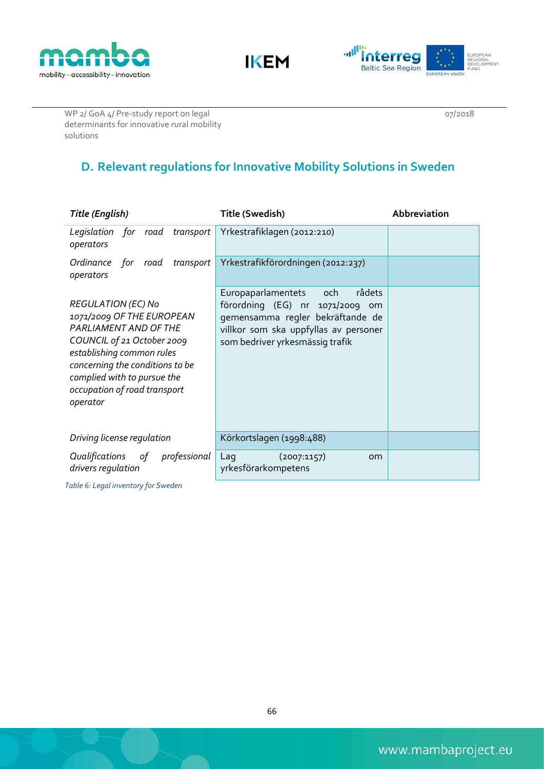





# **D. Relevant regulations for Innovative Mobility Solutions in Sweden**

| Title (English)                                                                                                                                                                                                                                                 | Title (Swedish)                                                                                                                                                                     | Abbreviation |
|-----------------------------------------------------------------------------------------------------------------------------------------------------------------------------------------------------------------------------------------------------------------|-------------------------------------------------------------------------------------------------------------------------------------------------------------------------------------|--------------|
| transport<br>Legislation for road<br>operators                                                                                                                                                                                                                  | Yrkestrafiklagen (2012:210)                                                                                                                                                         |              |
| operators                                                                                                                                                                                                                                                       | Ordinance for road transport Yrkestrafikförordningen (2012:237)                                                                                                                     |              |
| <b>REGULATION (EC) No</b><br>1071/2009 OF THE EUROPEAN<br><b>PARLIAMENT AND OF THE</b><br>COUNCIL of 21 October 2009<br>establishing common rules<br>concerning the conditions to be<br>complied with to pursue the<br>occupation of road transport<br>operator | Europaparlamentets och<br>rådets<br>förordning (EG) nr 1071/2009 om<br>gemensamma regler bekräftande de<br>villkor som ska uppfyllas av personer<br>som bedriver yrkesmässig trafik |              |
| Driving license regulation                                                                                                                                                                                                                                      | Körkortslagen (1998:488)                                                                                                                                                            |              |
| Qualifications of professional<br>drivers regulation                                                                                                                                                                                                            | Laq<br>(2007:1157)<br><b>om</b><br>yrkesförarkompetens                                                                                                                              |              |

*Table 6: Legal inventory for Sweden*

07/2018